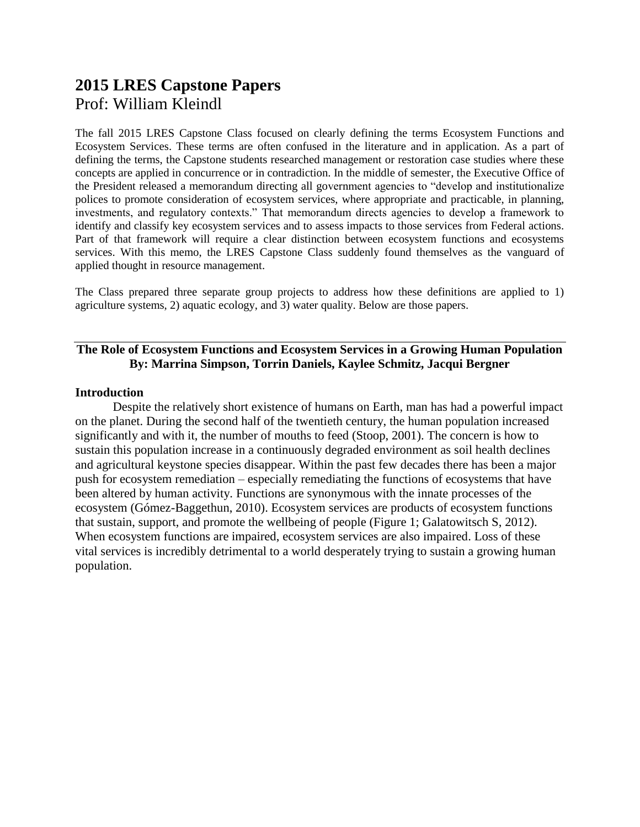### **2015 LRES Capstone Papers** Prof: William Kleindl

The fall 2015 LRES Capstone Class focused on clearly defining the terms Ecosystem Functions and Ecosystem Services. These terms are often confused in the literature and in application. As a part of defining the terms, the Capstone students researched management or restoration case studies where these concepts are applied in concurrence or in contradiction. In the middle of semester, the Executive Office of the President released a memorandum directing all government agencies to "develop and institutionalize polices to promote consideration of ecosystem services, where appropriate and practicable, in planning, investments, and regulatory contexts." That memorandum directs agencies to develop a framework to identify and classify key ecosystem services and to assess impacts to those services from Federal actions. Part of that framework will require a clear distinction between ecosystem functions and ecosystems services. With this memo, the LRES Capstone Class suddenly found themselves as the vanguard of applied thought in resource management.

The Class prepared three separate group projects to address how these definitions are applied to 1) agriculture systems, 2) aquatic ecology, and 3) water quality. Below are those papers.

#### **The Role of Ecosystem Functions and Ecosystem Services in a Growing Human Population By: Marrina Simpson, Torrin Daniels, Kaylee Schmitz, Jacqui Bergner**

#### **Introduction**

Despite the relatively short existence of humans on Earth, man has had a powerful impact on the planet. During the second half of the twentieth century, the human population increased significantly and with it, the number of mouths to feed (Stoop, 2001). The concern is how to sustain this population increase in a continuously degraded environment as soil health declines and agricultural keystone species disappear. Within the past few decades there has been a major push for ecosystem remediation – especially remediating the functions of ecosystems that have been altered by human activity. Functions are synonymous with the innate processes of the ecosystem (Gómez-Baggethun, 2010). Ecosystem services are products of ecosystem functions that sustain, support, and promote the wellbeing of people (Figure 1; Galatowitsch S, 2012). When ecosystem functions are impaired, ecosystem services are also impaired. Loss of these vital services is incredibly detrimental to a world desperately trying to sustain a growing human population.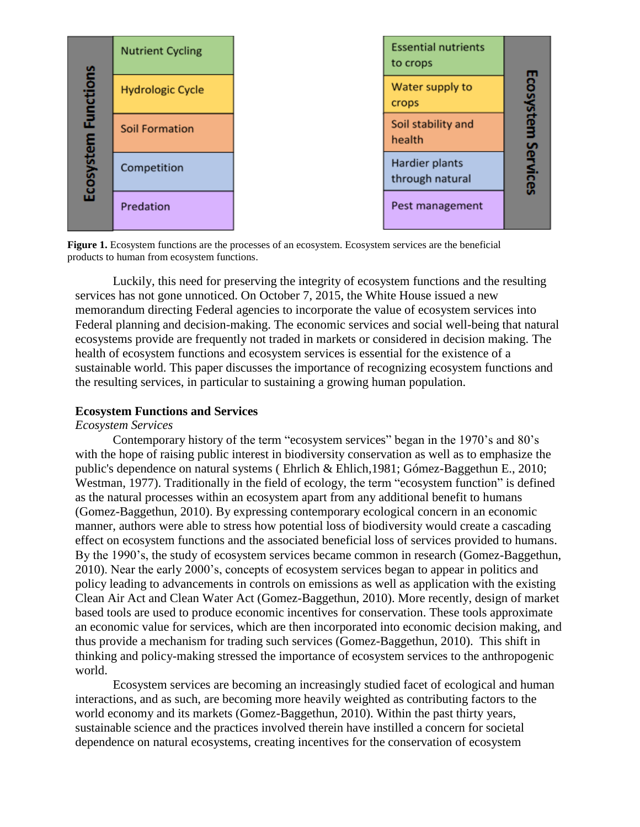

**Figure 1.** Ecosystem functions are the processes of an ecosystem. Ecosystem services are the beneficial products to human from ecosystem functions.

Luckily, this need for preserving the integrity of ecosystem functions and the resulting services has not gone unnoticed. On October 7, 2015, the White House issued a new memorandum directing Federal agencies to incorporate the value of ecosystem services into Federal planning and decision-making. The economic services and social well-being that natural ecosystems provide are frequently not traded in markets or considered in decision making. The health of ecosystem functions and ecosystem services is essential for the existence of a sustainable world. This paper discusses the importance of recognizing ecosystem functions and the resulting services, in particular to sustaining a growing human population.

#### **Ecosystem Functions and Services**

#### *Ecosystem Services*

Contemporary history of the term "ecosystem services" began in the 1970's and 80's with the hope of raising public interest in biodiversity conservation as well as to emphasize the public's dependence on natural systems ( Ehrlich & Ehlich,1981; Gómez-Baggethun E., 2010; Westman, 1977). Traditionally in the field of ecology, the term "ecosystem function" is defined as the natural processes within an ecosystem apart from any additional benefit to humans (Gomez-Baggethun, 2010). By expressing contemporary ecological concern in an economic manner, authors were able to stress how potential loss of biodiversity would create a cascading effect on ecosystem functions and the associated beneficial loss of services provided to humans. By the 1990's, the study of ecosystem services became common in research (Gomez-Baggethun, 2010). Near the early 2000's, concepts of ecosystem services began to appear in politics and policy leading to advancements in controls on emissions as well as application with the existing Clean Air Act and Clean Water Act (Gomez-Baggethun, 2010). More recently, design of market based tools are used to produce economic incentives for conservation. These tools approximate an economic value for services, which are then incorporated into economic decision making, and thus provide a mechanism for trading such services (Gomez-Baggethun, 2010). This shift in thinking and policy-making stressed the importance of ecosystem services to the anthropogenic world.

Ecosystem services are becoming an increasingly studied facet of ecological and human interactions, and as such, are becoming more heavily weighted as contributing factors to the world economy and its markets (Gomez-Baggethun, 2010). Within the past thirty years, sustainable science and the practices involved therein have instilled a concern for societal dependence on natural ecosystems, creating incentives for the conservation of ecosystem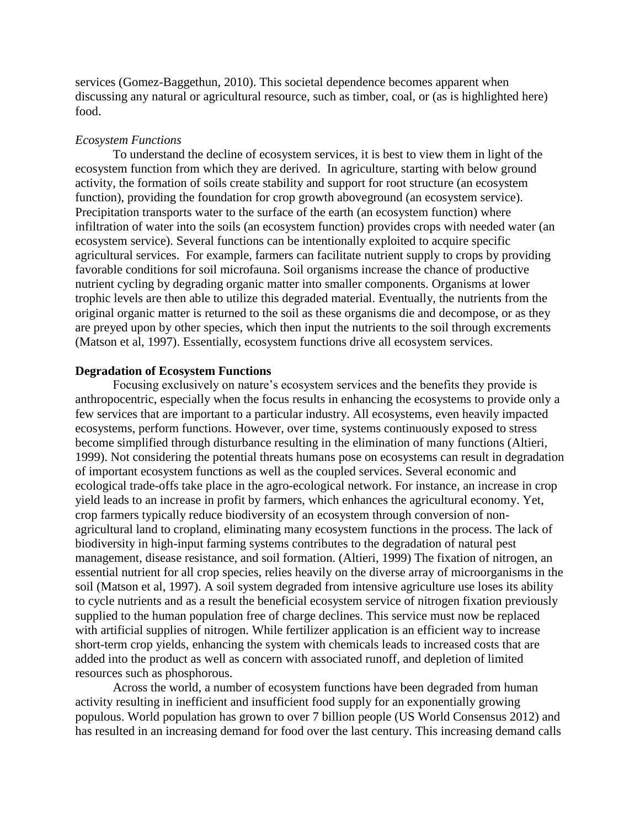services (Gomez-Baggethun, 2010). This societal dependence becomes apparent when discussing any natural or agricultural resource, such as timber, coal, or (as is highlighted here) food.

#### *Ecosystem Functions*

To understand the decline of ecosystem services, it is best to view them in light of the ecosystem function from which they are derived. In agriculture, starting with below ground activity, the formation of soils create stability and support for root structure (an ecosystem function), providing the foundation for crop growth aboveground (an ecosystem service). Precipitation transports water to the surface of the earth (an ecosystem function) where infiltration of water into the soils (an ecosystem function) provides crops with needed water (an ecosystem service). Several functions can be intentionally exploited to acquire specific agricultural services. For example, farmers can facilitate nutrient supply to crops by providing favorable conditions for soil microfauna. Soil organisms increase the chance of productive nutrient cycling by degrading organic matter into smaller components. Organisms at lower trophic levels are then able to utilize this degraded material. Eventually, the nutrients from the original organic matter is returned to the soil as these organisms die and decompose, or as they are preyed upon by other species, which then input the nutrients to the soil through excrements (Matson et al, 1997). Essentially, ecosystem functions drive all ecosystem services.

#### **Degradation of Ecosystem Functions**

Focusing exclusively on nature's ecosystem services and the benefits they provide is anthropocentric, especially when the focus results in enhancing the ecosystems to provide only a few services that are important to a particular industry. All ecosystems, even heavily impacted ecosystems, perform functions. However, over time, systems continuously exposed to stress become simplified through disturbance resulting in the elimination of many functions (Altieri, 1999). Not considering the potential threats humans pose on ecosystems can result in degradation of important ecosystem functions as well as the coupled services. Several economic and ecological trade-offs take place in the agro-ecological network. For instance, an increase in crop yield leads to an increase in profit by farmers, which enhances the agricultural economy. Yet, crop farmers typically reduce biodiversity of an ecosystem through conversion of nonagricultural land to cropland, eliminating many ecosystem functions in the process. The lack of biodiversity in high-input farming systems contributes to the degradation of natural pest management, disease resistance, and soil formation. (Altieri, 1999) The fixation of nitrogen, an essential nutrient for all crop species, relies heavily on the diverse array of microorganisms in the soil (Matson et al, 1997). A soil system degraded from intensive agriculture use loses its ability to cycle nutrients and as a result the beneficial ecosystem service of nitrogen fixation previously supplied to the human population free of charge declines. This service must now be replaced with artificial supplies of nitrogen. While fertilizer application is an efficient way to increase short-term crop yields, enhancing the system with chemicals leads to increased costs that are added into the product as well as concern with associated runoff, and depletion of limited resources such as phosphorous.

Across the world, a number of ecosystem functions have been degraded from human activity resulting in inefficient and insufficient food supply for an exponentially growing populous. World population has grown to over 7 billion people (US World Consensus 2012) and has resulted in an increasing demand for food over the last century. This increasing demand calls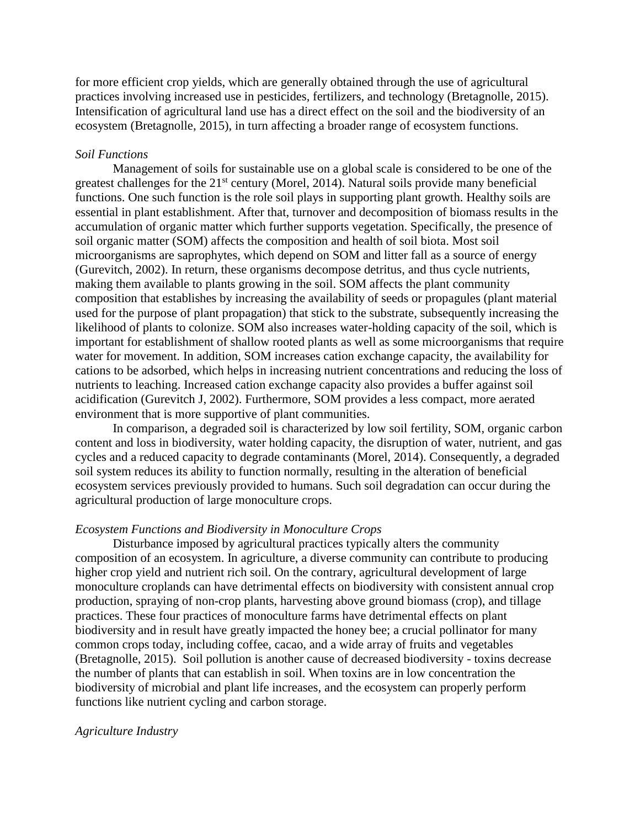for more efficient crop yields, which are generally obtained through the use of agricultural practices involving increased use in pesticides, fertilizers, and technology (Bretagnolle, 2015). Intensification of agricultural land use has a direct effect on the soil and the biodiversity of an ecosystem (Bretagnolle, 2015), in turn affecting a broader range of ecosystem functions.

#### *Soil Functions*

Management of soils for sustainable use on a global scale is considered to be one of the greatest challenges for the  $21<sup>st</sup>$  century (Morel, 2014). Natural soils provide many beneficial functions. One such function is the role soil plays in supporting plant growth. Healthy soils are essential in plant establishment. After that, turnover and decomposition of biomass results in the accumulation of organic matter which further supports vegetation. Specifically, the presence of soil organic matter (SOM) affects the composition and health of soil biota. Most soil microorganisms are saprophytes, which depend on SOM and litter fall as a source of energy (Gurevitch, 2002). In return, these organisms decompose detritus, and thus cycle nutrients, making them available to plants growing in the soil. SOM affects the plant community composition that establishes by increasing the availability of seeds or propagules (plant material used for the purpose of plant propagation) that stick to the substrate, subsequently increasing the likelihood of plants to colonize. SOM also increases water-holding capacity of the soil, which is important for establishment of shallow rooted plants as well as some microorganisms that require water for movement. In addition, SOM increases cation exchange capacity, the availability for cations to be adsorbed, which helps in increasing nutrient concentrations and reducing the loss of nutrients to leaching. Increased cation exchange capacity also provides a buffer against soil acidification (Gurevitch J, 2002). Furthermore, SOM provides a less compact, more aerated environment that is more supportive of plant communities.

In comparison, a degraded soil is characterized by low soil fertility, SOM, organic carbon content and loss in biodiversity, water holding capacity, the disruption of water, nutrient, and gas cycles and a reduced capacity to degrade contaminants (Morel, 2014). Consequently, a degraded soil system reduces its ability to function normally, resulting in the alteration of beneficial ecosystem services previously provided to humans. Such soil degradation can occur during the agricultural production of large monoculture crops.

#### *Ecosystem Functions and Biodiversity in Monoculture Crops*

Disturbance imposed by agricultural practices typically alters the community composition of an ecosystem. In agriculture, a diverse community can contribute to producing higher crop yield and nutrient rich soil. On the contrary, agricultural development of large monoculture croplands can have detrimental effects on biodiversity with consistent annual crop production, spraying of non-crop plants, harvesting above ground biomass (crop), and tillage practices. These four practices of monoculture farms have detrimental effects on plant biodiversity and in result have greatly impacted the honey bee; a crucial pollinator for many common crops today, including coffee, cacao, and a wide array of fruits and vegetables (Bretagnolle, 2015). Soil pollution is another cause of decreased biodiversity - toxins decrease the number of plants that can establish in soil. When toxins are in low concentration the biodiversity of microbial and plant life increases, and the ecosystem can properly perform functions like nutrient cycling and carbon storage.

#### *Agriculture Industry*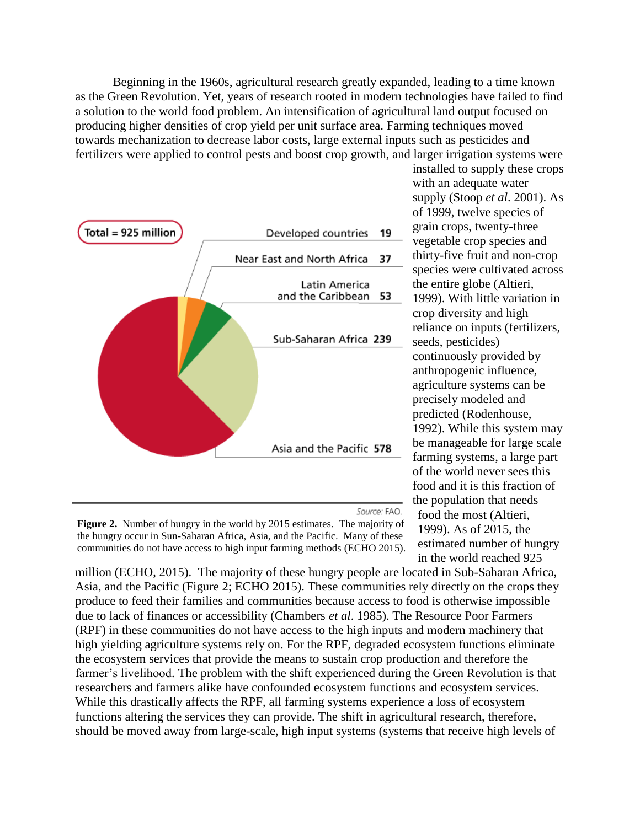Beginning in the 1960s, agricultural research greatly expanded, leading to a time known as the Green Revolution. Yet, years of research rooted in modern technologies have failed to find a solution to the world food problem. An intensification of agricultural land output focused on producing higher densities of crop yield per unit surface area. Farming techniques moved towards mechanization to decrease labor costs, large external inputs such as pesticides and fertilizers were applied to control pests and boost crop growth, and larger irrigation systems were



Source: FAO.

**Figure 2.** Number of hungry in the world by 2015 estimates. The majority of the hungry occur in Sun-Saharan Africa, Asia, and the Pacific. Many of these communities do not have access to high input farming methods (ECHO 2015).

installed to supply these crops with an adequate water supply (Stoop *et al*. 2001). As of 1999, twelve species of grain crops, twenty-three vegetable crop species and thirty-five fruit and non-crop species were cultivated across the entire globe (Altieri, 1999). With little variation in crop diversity and high reliance on inputs (fertilizers, seeds, pesticides) continuously provided by anthropogenic influence, agriculture systems can be precisely modeled and predicted (Rodenhouse, 1992). While this system may be manageable for large scale farming systems, a large part of the world never sees this food and it is this fraction of the population that needs food the most (Altieri, 1999). As of 2015, the estimated number of hungry in the world reached 925

million (ECHO, 2015). The majority of these hungry people are located in Sub-Saharan Africa, Asia, and the Pacific (Figure 2; ECHO 2015). These communities rely directly on the crops they produce to feed their families and communities because access to food is otherwise impossible due to lack of finances or accessibility (Chambers *et al*. 1985). The Resource Poor Farmers (RPF) in these communities do not have access to the high inputs and modern machinery that high yielding agriculture systems rely on. For the RPF, degraded ecosystem functions eliminate the ecosystem services that provide the means to sustain crop production and therefore the farmer's livelihood. The problem with the shift experienced during the Green Revolution is that researchers and farmers alike have confounded ecosystem functions and ecosystem services. While this drastically affects the RPF, all farming systems experience a loss of ecosystem functions altering the services they can provide. The shift in agricultural research, therefore, should be moved away from large-scale, high input systems (systems that receive high levels of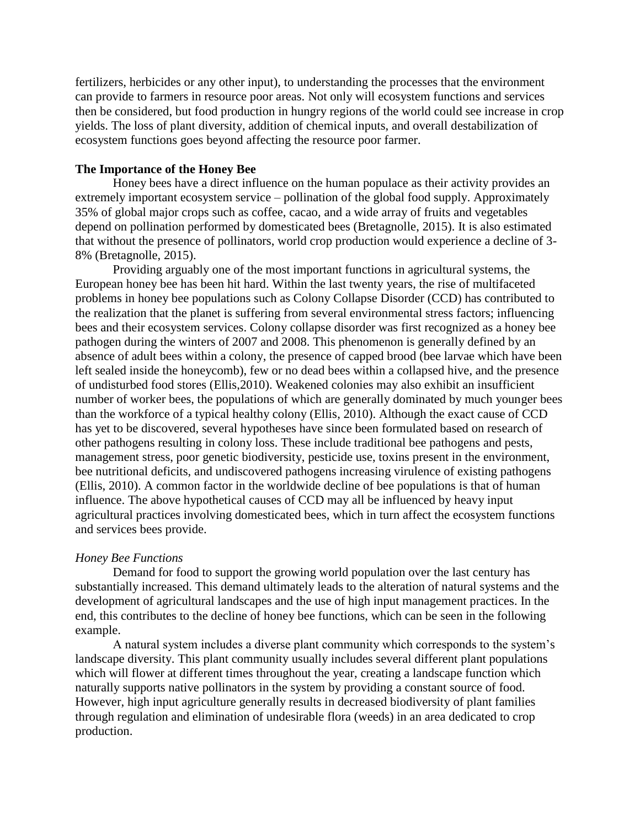fertilizers, herbicides or any other input), to understanding the processes that the environment can provide to farmers in resource poor areas. Not only will ecosystem functions and services then be considered, but food production in hungry regions of the world could see increase in crop yields. The loss of plant diversity, addition of chemical inputs, and overall destabilization of ecosystem functions goes beyond affecting the resource poor farmer.

#### **The Importance of the Honey Bee**

Honey bees have a direct influence on the human populace as their activity provides an extremely important ecosystem service – pollination of the global food supply. Approximately 35% of global major crops such as coffee, cacao, and a wide array of fruits and vegetables depend on pollination performed by domesticated bees (Bretagnolle, 2015). It is also estimated that without the presence of pollinators, world crop production would experience a decline of 3- 8% (Bretagnolle, 2015).

Providing arguably one of the most important functions in agricultural systems, the European honey bee has been hit hard. Within the last twenty years, the rise of multifaceted problems in honey bee populations such as Colony Collapse Disorder (CCD) has contributed to the realization that the planet is suffering from several environmental stress factors; influencing bees and their ecosystem services. Colony collapse disorder was first recognized as a honey bee pathogen during the winters of 2007 and 2008. This phenomenon is generally defined by an absence of adult bees within a colony, the presence of capped brood (bee larvae which have been left sealed inside the honeycomb), few or no dead bees within a collapsed hive, and the presence of undisturbed food stores (Ellis,2010). Weakened colonies may also exhibit an insufficient number of worker bees, the populations of which are generally dominated by much younger bees than the workforce of a typical healthy colony (Ellis, 2010). Although the exact cause of CCD has yet to be discovered, several hypotheses have since been formulated based on research of other pathogens resulting in colony loss. These include traditional bee pathogens and pests, management stress, poor genetic biodiversity, pesticide use, toxins present in the environment, bee nutritional deficits, and undiscovered pathogens increasing virulence of existing pathogens (Ellis, 2010). A common factor in the worldwide decline of bee populations is that of human influence. The above hypothetical causes of CCD may all be influenced by heavy input agricultural practices involving domesticated bees, which in turn affect the ecosystem functions and services bees provide.

#### *Honey Bee Functions*

Demand for food to support the growing world population over the last century has substantially increased. This demand ultimately leads to the alteration of natural systems and the development of agricultural landscapes and the use of high input management practices. In the end, this contributes to the decline of honey bee functions, which can be seen in the following example.

A natural system includes a diverse plant community which corresponds to the system's landscape diversity. This plant community usually includes several different plant populations which will flower at different times throughout the year, creating a landscape function which naturally supports native pollinators in the system by providing a constant source of food. However, high input agriculture generally results in decreased biodiversity of plant families through regulation and elimination of undesirable flora (weeds) in an area dedicated to crop production.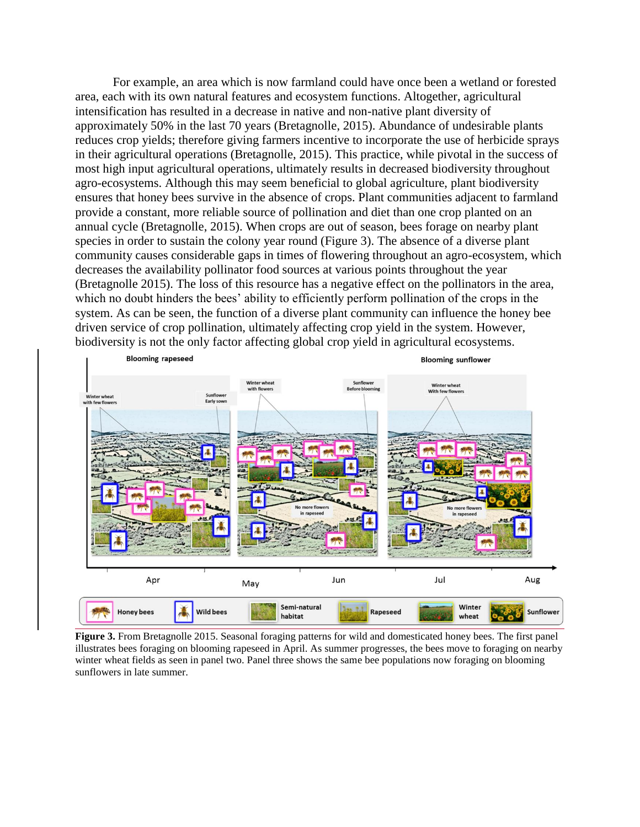For example, an area which is now farmland could have once been a wetland or forested area, each with its own natural features and ecosystem functions. Altogether, agricultural intensification has resulted in a decrease in native and non-native plant diversity of approximately 50% in the last 70 years (Bretagnolle, 2015). Abundance of undesirable plants reduces crop yields; therefore giving farmers incentive to incorporate the use of herbicide sprays in their agricultural operations (Bretagnolle, 2015). This practice, while pivotal in the success of most high input agricultural operations, ultimately results in decreased biodiversity throughout agro-ecosystems. Although this may seem beneficial to global agriculture, plant biodiversity ensures that honey bees survive in the absence of crops. Plant communities adjacent to farmland provide a constant, more reliable source of pollination and diet than one crop planted on an annual cycle (Bretagnolle, 2015). When crops are out of season, bees forage on nearby plant species in order to sustain the colony year round (Figure 3). The absence of a diverse plant community causes considerable gaps in times of flowering throughout an agro-ecosystem, which decreases the availability pollinator food sources at various points throughout the year (Bretagnolle 2015). The loss of this resource has a negative effect on the pollinators in the area, which no doubt hinders the bees' ability to efficiently perform pollination of the crops in the system. As can be seen, the function of a diverse plant community can influence the honey bee driven service of crop pollination, ultimately affecting crop yield in the system. However, biodiversity is not the only factor affecting global crop yield in agricultural ecosystems.



**Figure 3.** From Bretagnolle 2015. Seasonal foraging patterns for wild and domesticated honey bees. The first panel illustrates bees foraging on blooming rapeseed in April. As summer progresses, the bees move to foraging on nearby winter wheat fields as seen in panel two. Panel three shows the same bee populations now foraging on blooming sunflowers in late summer.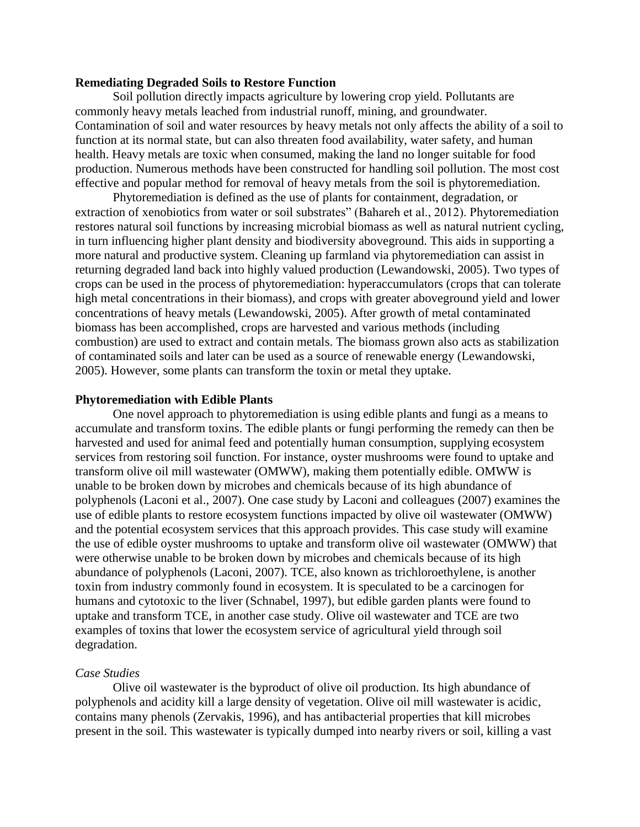#### **Remediating Degraded Soils to Restore Function**

Soil pollution directly impacts agriculture by lowering crop yield. Pollutants are commonly heavy metals leached from industrial runoff, mining, and groundwater. Contamination of soil and water resources by heavy metals not only affects the ability of a soil to function at its normal state, but can also threaten food availability, water safety, and human health. Heavy metals are toxic when consumed, making the land no longer suitable for food production. Numerous methods have been constructed for handling soil pollution. The most cost effective and popular method for removal of heavy metals from the soil is phytoremediation.

Phytoremediation is defined as the use of plants for containment, degradation, or extraction of xenobiotics from water or soil substrates" (Bahareh et al., 2012). Phytoremediation restores natural soil functions by increasing microbial biomass as well as natural nutrient cycling, in turn influencing higher plant density and biodiversity aboveground. This aids in supporting a more natural and productive system. Cleaning up farmland via phytoremediation can assist in returning degraded land back into highly valued production (Lewandowski, 2005). Two types of crops can be used in the process of phytoremediation: hyperaccumulators (crops that can tolerate high metal concentrations in their biomass), and crops with greater aboveground yield and lower concentrations of heavy metals (Lewandowski, 2005). After growth of metal contaminated biomass has been accomplished, crops are harvested and various methods (including combustion) are used to extract and contain metals. The biomass grown also acts as stabilization of contaminated soils and later can be used as a source of renewable energy (Lewandowski, 2005). However, some plants can transform the toxin or metal they uptake.

#### **Phytoremediation with Edible Plants**

One novel approach to phytoremediation is using edible plants and fungi as a means to accumulate and transform toxins. The edible plants or fungi performing the remedy can then be harvested and used for animal feed and potentially human consumption, supplying ecosystem services from restoring soil function. For instance, oyster mushrooms were found to uptake and transform olive oil mill wastewater (OMWW), making them potentially edible. OMWW is unable to be broken down by microbes and chemicals because of its high abundance of polyphenols (Laconi et al., 2007). One case study by Laconi and colleagues (2007) examines the use of edible plants to restore ecosystem functions impacted by olive oil wastewater (OMWW) and the potential ecosystem services that this approach provides. This case study will examine the use of edible oyster mushrooms to uptake and transform olive oil wastewater (OMWW) that were otherwise unable to be broken down by microbes and chemicals because of its high abundance of polyphenols (Laconi, 2007). TCE, also known as trichloroethylene, is another toxin from industry commonly found in ecosystem. It is speculated to be a carcinogen for humans and cytotoxic to the liver (Schnabel, 1997), but edible garden plants were found to uptake and transform TCE, in another case study. Olive oil wastewater and TCE are two examples of toxins that lower the ecosystem service of agricultural yield through soil degradation.

#### *Case Studies*

Olive oil wastewater is the byproduct of olive oil production. Its high abundance of polyphenols and acidity kill a large density of vegetation. Olive oil mill wastewater is acidic, contains many phenols (Zervakis, 1996), and has antibacterial properties that kill microbes present in the soil. This wastewater is typically dumped into nearby rivers or soil, killing a vast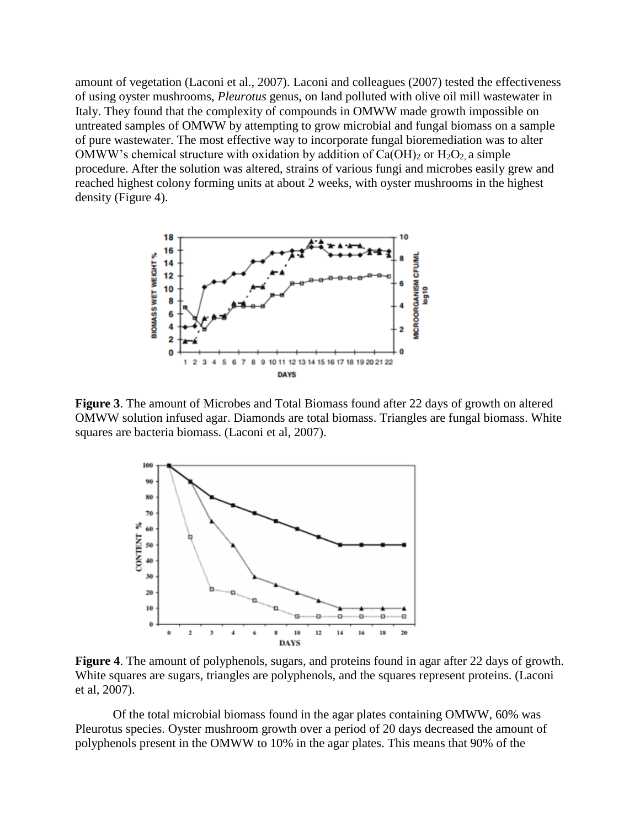amount of vegetation (Laconi et al., 2007). Laconi and colleagues (2007) tested the effectiveness of using oyster mushrooms, *Pleurotus* genus, on land polluted with olive oil mill wastewater in Italy. They found that the complexity of compounds in OMWW made growth impossible on untreated samples of OMWW by attempting to grow microbial and fungal biomass on a sample of pure wastewater. The most effective way to incorporate fungal bioremediation was to alter OMWW's chemical structure with oxidation by addition of  $Ca(OH)_2$  or  $H_2O_2$ , a simple procedure. After the solution was altered, strains of various fungi and microbes easily grew and reached highest colony forming units at about 2 weeks, with oyster mushrooms in the highest density (Figure 4).



**Figure 3**. The amount of Microbes and Total Biomass found after 22 days of growth on altered OMWW solution infused agar. Diamonds are total biomass. Triangles are fungal biomass. White squares are bacteria biomass. (Laconi et al, 2007).



**Figure 4**. The amount of polyphenols, sugars, and proteins found in agar after 22 days of growth. White squares are sugars, triangles are polyphenols, and the squares represent proteins. (Laconi et al, 2007).

Of the total microbial biomass found in the agar plates containing OMWW, 60% was Pleurotus species. Oyster mushroom growth over a period of 20 days decreased the amount of polyphenols present in the OMWW to 10% in the agar plates. This means that 90% of the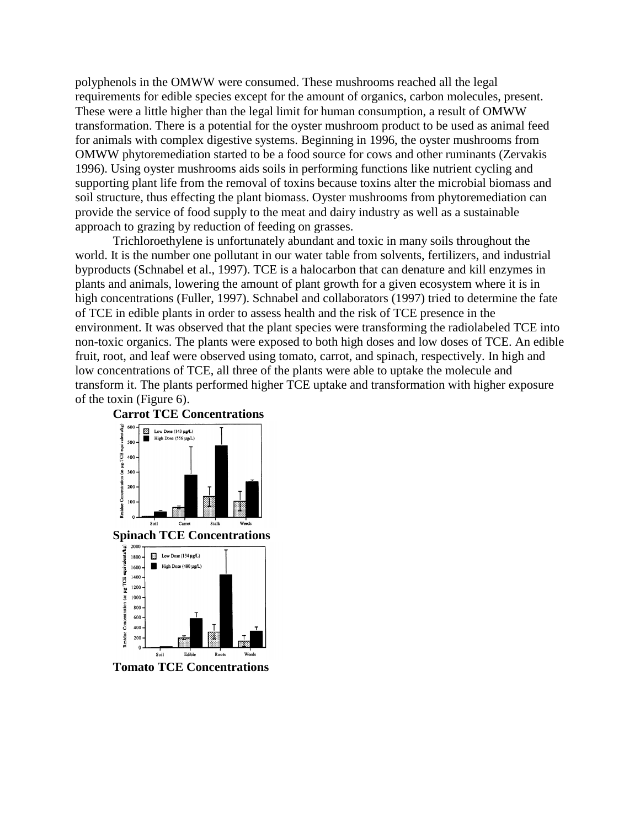polyphenols in the OMWW were consumed. These mushrooms reached all the legal requirements for edible species except for the amount of organics, carbon molecules, present. These were a little higher than the legal limit for human consumption, a result of OMWW transformation. There is a potential for the oyster mushroom product to be used as animal feed for animals with complex digestive systems. Beginning in 1996, the oyster mushrooms from OMWW phytoremediation started to be a food source for cows and other ruminants (Zervakis 1996). Using oyster mushrooms aids soils in performing functions like nutrient cycling and supporting plant life from the removal of toxins because toxins alter the microbial biomass and soil structure, thus effecting the plant biomass. Oyster mushrooms from phytoremediation can provide the service of food supply to the meat and dairy industry as well as a sustainable approach to grazing by reduction of feeding on grasses.

Trichloroethylene is unfortunately abundant and toxic in many soils throughout the world. It is the number one pollutant in our water table from solvents, fertilizers, and industrial byproducts (Schnabel et al., 1997). TCE is a halocarbon that can denature and kill enzymes in plants and animals, lowering the amount of plant growth for a given ecosystem where it is in high concentrations (Fuller, 1997). Schnabel and collaborators (1997) tried to determine the fate of TCE in edible plants in order to assess health and the risk of TCE presence in the environment. It was observed that the plant species were transforming the radiolabeled TCE into non-toxic organics. The plants were exposed to both high doses and low doses of TCE. An edible fruit, root, and leaf were observed using tomato, carrot, and spinach, respectively. In high and low concentrations of TCE, all three of the plants were able to uptake the molecule and transform it. The plants performed higher TCE uptake and transformation with higher exposure of the toxin (Figure 6).



**Tomato TCE Concentrations**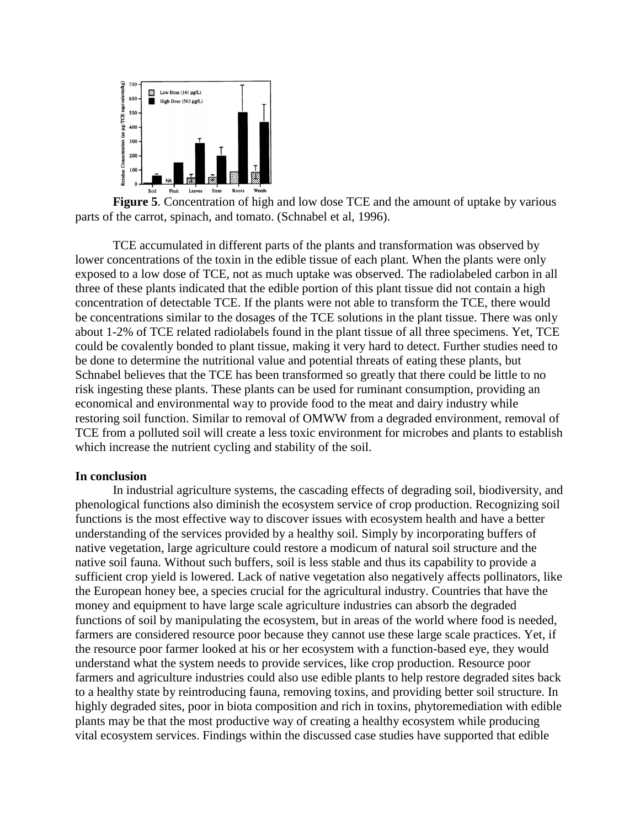

**Figure 5**. Concentration of high and low dose TCE and the amount of uptake by various parts of the carrot, spinach, and tomato. (Schnabel et al, 1996).

TCE accumulated in different parts of the plants and transformation was observed by lower concentrations of the toxin in the edible tissue of each plant. When the plants were only exposed to a low dose of TCE, not as much uptake was observed. The radiolabeled carbon in all three of these plants indicated that the edible portion of this plant tissue did not contain a high concentration of detectable TCE. If the plants were not able to transform the TCE, there would be concentrations similar to the dosages of the TCE solutions in the plant tissue. There was only about 1-2% of TCE related radiolabels found in the plant tissue of all three specimens. Yet, TCE could be covalently bonded to plant tissue, making it very hard to detect. Further studies need to be done to determine the nutritional value and potential threats of eating these plants, but Schnabel believes that the TCE has been transformed so greatly that there could be little to no risk ingesting these plants. These plants can be used for ruminant consumption, providing an economical and environmental way to provide food to the meat and dairy industry while restoring soil function. Similar to removal of OMWW from a degraded environment, removal of TCE from a polluted soil will create a less toxic environment for microbes and plants to establish which increase the nutrient cycling and stability of the soil.

#### **In conclusion**

In industrial agriculture systems, the cascading effects of degrading soil, biodiversity, and phenological functions also diminish the ecosystem service of crop production. Recognizing soil functions is the most effective way to discover issues with ecosystem health and have a better understanding of the services provided by a healthy soil. Simply by incorporating buffers of native vegetation, large agriculture could restore a modicum of natural soil structure and the native soil fauna. Without such buffers, soil is less stable and thus its capability to provide a sufficient crop yield is lowered. Lack of native vegetation also negatively affects pollinators, like the European honey bee, a species crucial for the agricultural industry. Countries that have the money and equipment to have large scale agriculture industries can absorb the degraded functions of soil by manipulating the ecosystem, but in areas of the world where food is needed, farmers are considered resource poor because they cannot use these large scale practices. Yet, if the resource poor farmer looked at his or her ecosystem with a function-based eye, they would understand what the system needs to provide services, like crop production. Resource poor farmers and agriculture industries could also use edible plants to help restore degraded sites back to a healthy state by reintroducing fauna, removing toxins, and providing better soil structure. In highly degraded sites, poor in biota composition and rich in toxins, phytoremediation with edible plants may be that the most productive way of creating a healthy ecosystem while producing vital ecosystem services. Findings within the discussed case studies have supported that edible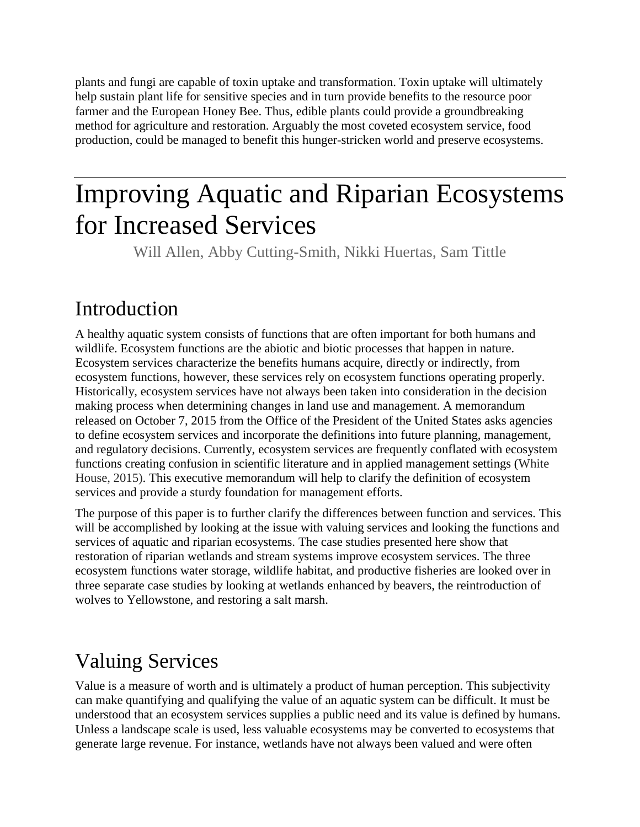plants and fungi are capable of toxin uptake and transformation. Toxin uptake will ultimately help sustain plant life for sensitive species and in turn provide benefits to the resource poor farmer and the European Honey Bee. Thus, edible plants could provide a groundbreaking method for agriculture and restoration. Arguably the most coveted ecosystem service, food production, could be managed to benefit this hunger-stricken world and preserve ecosystems.

# Improving Aquatic and Riparian Ecosystems for Increased Services

Will Allen, Abby Cutting-Smith, Nikki Huertas, Sam Tittle

# Introduction

A healthy aquatic system consists of functions that are often important for both humans and wildlife. Ecosystem functions are the abiotic and biotic processes that happen in nature. Ecosystem services characterize the benefits humans acquire, directly or indirectly, from ecosystem functions, however, these services rely on ecosystem functions operating properly. Historically, ecosystem services have not always been taken into consideration in the decision making process when determining changes in land use and management. A memorandum released on October 7, 2015 from the Office of the President of the United States asks agencies to define ecosystem services and incorporate the definitions into future planning, management, and regulatory decisions. Currently, ecosystem services are frequently conflated with ecosystem functions creating confusion in scientific literature and in applied management settings (White House, 2015). This executive memorandum will help to clarify the definition of ecosystem services and provide a sturdy foundation for management efforts.

The purpose of this paper is to further clarify the differences between function and services. This will be accomplished by looking at the issue with valuing services and looking the functions and services of aquatic and riparian ecosystems. The case studies presented here show that restoration of riparian wetlands and stream systems improve ecosystem services. The three ecosystem functions water storage, wildlife habitat, and productive fisheries are looked over in three separate case studies by looking at wetlands enhanced by beavers, the reintroduction of wolves to Yellowstone, and restoring a salt marsh.

# Valuing Services

Value is a measure of worth and is ultimately a product of human perception. This subjectivity can make quantifying and qualifying the value of an aquatic system can be difficult. It must be understood that an ecosystem services supplies a public need and its value is defined by humans. Unless a landscape scale is used, less valuable ecosystems may be converted to ecosystems that generate large revenue. For instance, wetlands have not always been valued and were often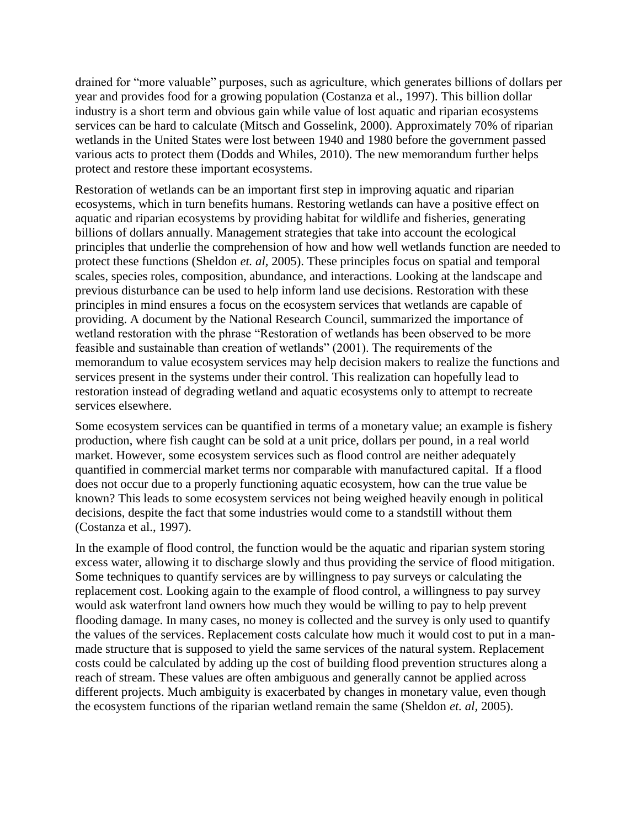drained for "more valuable" purposes, such as agriculture, which generates billions of dollars per year and provides food for a growing population (Costanza et al., 1997). This billion dollar industry is a short term and obvious gain while value of lost aquatic and riparian ecosystems services can be hard to calculate (Mitsch and Gosselink, 2000). Approximately 70% of riparian wetlands in the United States were lost between 1940 and 1980 before the government passed various acts to protect them (Dodds and Whiles, 2010). The new memorandum further helps protect and restore these important ecosystems.

Restoration of wetlands can be an important first step in improving aquatic and riparian ecosystems, which in turn benefits humans. Restoring wetlands can have a positive effect on aquatic and riparian ecosystems by providing habitat for wildlife and fisheries, generating billions of dollars annually. Management strategies that take into account the ecological principles that underlie the comprehension of how and how well wetlands function are needed to protect these functions (Sheldon *et. al,* 2005). These principles focus on spatial and temporal scales, species roles, composition, abundance, and interactions. Looking at the landscape and previous disturbance can be used to help inform land use decisions. Restoration with these principles in mind ensures a focus on the ecosystem services that wetlands are capable of providing. A document by the National Research Council, summarized the importance of wetland restoration with the phrase "Restoration of wetlands has been observed to be more feasible and sustainable than creation of wetlands" (2001). The requirements of the memorandum to value ecosystem services may help decision makers to realize the functions and services present in the systems under their control. This realization can hopefully lead to restoration instead of degrading wetland and aquatic ecosystems only to attempt to recreate services elsewhere.

Some ecosystem services can be quantified in terms of a monetary value; an example is fishery production, where fish caught can be sold at a unit price, dollars per pound, in a real world market. However, some ecosystem services such as flood control are neither adequately quantified in commercial market terms nor comparable with manufactured capital. If a flood does not occur due to a properly functioning aquatic ecosystem, how can the true value be known? This leads to some ecosystem services not being weighed heavily enough in political decisions, despite the fact that some industries would come to a standstill without them (Costanza et al., 1997).

In the example of flood control, the function would be the aquatic and riparian system storing excess water, allowing it to discharge slowly and thus providing the service of flood mitigation. Some techniques to quantify services are by willingness to pay surveys or calculating the replacement cost. Looking again to the example of flood control, a willingness to pay survey would ask waterfront land owners how much they would be willing to pay to help prevent flooding damage. In many cases, no money is collected and the survey is only used to quantify the values of the services. Replacement costs calculate how much it would cost to put in a manmade structure that is supposed to yield the same services of the natural system. Replacement costs could be calculated by adding up the cost of building flood prevention structures along a reach of stream. These values are often ambiguous and generally cannot be applied across different projects. Much ambiguity is exacerbated by changes in monetary value, even though the ecosystem functions of the riparian wetland remain the same (Sheldon *et. al,* 2005).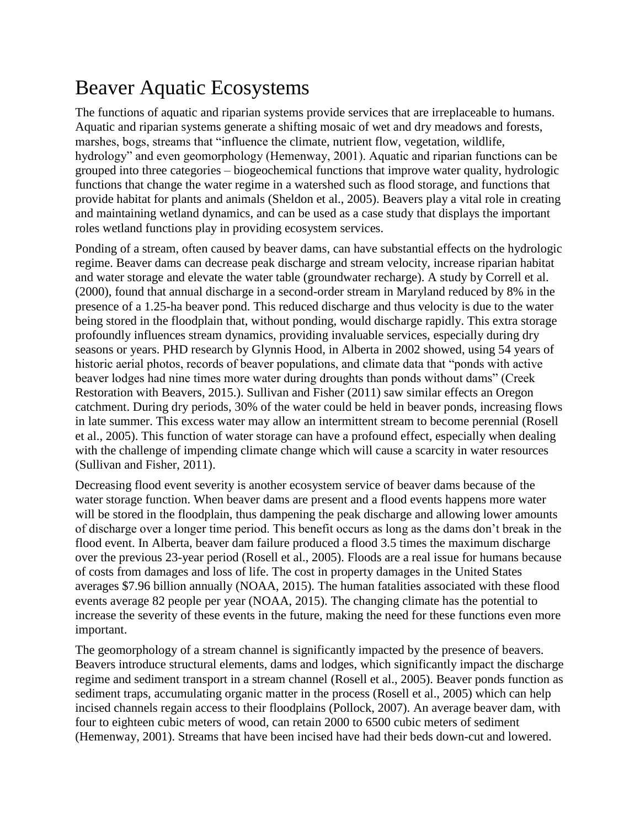# Beaver Aquatic Ecosystems

The functions of aquatic and riparian systems provide services that are irreplaceable to humans. Aquatic and riparian systems generate a shifting mosaic of wet and dry meadows and forests, marshes, bogs, streams that "influence the climate, nutrient flow, vegetation, wildlife, hydrology" and even geomorphology (Hemenway, 2001). Aquatic and riparian functions can be grouped into three categories – biogeochemical functions that improve water quality, hydrologic functions that change the water regime in a watershed such as flood storage, and functions that provide habitat for plants and animals (Sheldon et al., 2005). Beavers play a vital role in creating and maintaining wetland dynamics, and can be used as a case study that displays the important roles wetland functions play in providing ecosystem services.

Ponding of a stream, often caused by beaver dams, can have substantial effects on the hydrologic regime. Beaver dams can decrease peak discharge and stream velocity, increase riparian habitat and water storage and elevate the water table (groundwater recharge). A study by Correll et al. (2000), found that annual discharge in a second-order stream in Maryland reduced by 8% in the presence of a 1.25-ha beaver pond. This reduced discharge and thus velocity is due to the water being stored in the floodplain that, without ponding, would discharge rapidly. This extra storage profoundly influences stream dynamics, providing invaluable services, especially during dry seasons or years. PHD research by Glynnis Hood, in Alberta in 2002 showed, using 54 years of historic aerial photos, records of beaver populations, and climate data that "ponds with active beaver lodges had nine times more water during droughts than ponds without dams" (Creek Restoration with Beavers, 2015.). Sullivan and Fisher (2011) saw similar effects an Oregon catchment. During dry periods, 30% of the water could be held in beaver ponds, increasing flows in late summer. This excess water may allow an intermittent stream to become perennial (Rosell et al., 2005). This function of water storage can have a profound effect, especially when dealing with the challenge of impending climate change which will cause a scarcity in water resources (Sullivan and Fisher, 2011).

Decreasing flood event severity is another ecosystem service of beaver dams because of the water storage function. When beaver dams are present and a flood events happens more water will be stored in the floodplain, thus dampening the peak discharge and allowing lower amounts of discharge over a longer time period. This benefit occurs as long as the dams don't break in the flood event. In Alberta, beaver dam failure produced a flood 3.5 times the maximum discharge over the previous 23-year period (Rosell et al., 2005). Floods are a real issue for humans because of costs from damages and loss of life. The cost in property damages in the United States averages \$7.96 billion annually (NOAA, 2015). The human fatalities associated with these flood events average 82 people per year (NOAA, 2015). The changing climate has the potential to increase the severity of these events in the future, making the need for these functions even more important.

The geomorphology of a stream channel is significantly impacted by the presence of beavers. Beavers introduce structural elements, dams and lodges, which significantly impact the discharge regime and sediment transport in a stream channel (Rosell et al., 2005). Beaver ponds function as sediment traps, accumulating organic matter in the process (Rosell et al., 2005) which can help incised channels regain access to their floodplains (Pollock, 2007). An average beaver dam, with four to eighteen cubic meters of wood, can retain 2000 to 6500 cubic meters of sediment (Hemenway, 2001). Streams that have been incised have had their beds down-cut and lowered.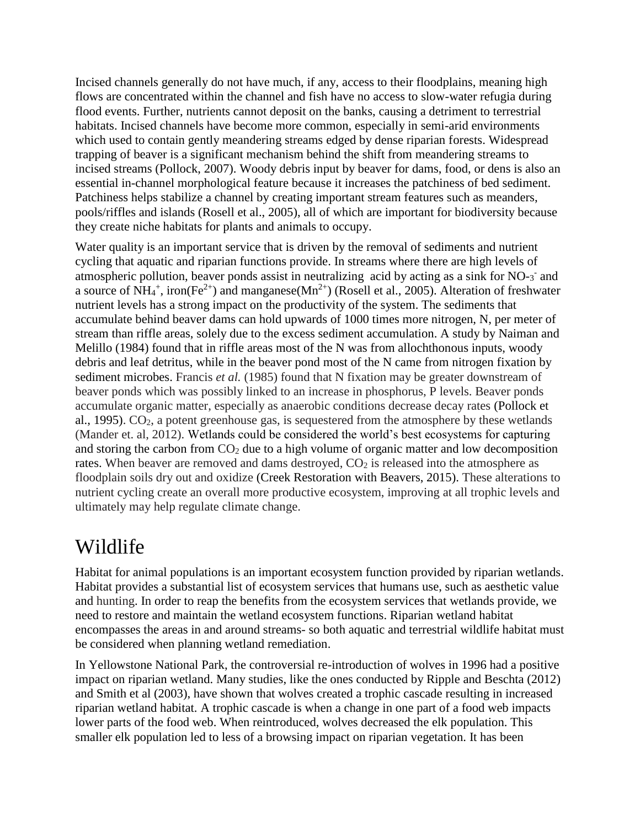Incised channels generally do not have much, if any, access to their floodplains, meaning high flows are concentrated within the channel and fish have no access to slow-water refugia during flood events. Further, nutrients cannot deposit on the banks, causing a detriment to terrestrial habitats. Incised channels have become more common, especially in semi-arid environments which used to contain gently meandering streams edged by dense riparian forests. Widespread trapping of beaver is a significant mechanism behind the shift from meandering streams to incised streams (Pollock, 2007). Woody debris input by beaver for dams, food, or dens is also an essential in-channel morphological feature because it increases the patchiness of bed sediment. Patchiness helps stabilize a channel by creating important stream features such as meanders, pools/riffles and islands (Rosell et al., 2005), all of which are important for biodiversity because they create niche habitats for plants and animals to occupy.

Water quality is an important service that is driven by the removal of sediments and nutrient cycling that aquatic and riparian functions provide. In streams where there are high levels of atmospheric pollution, beaver ponds assist in neutralizing acid by acting as a sink for NO-3 and a source of NH<sub>4</sub><sup>+</sup>, iron(Fe<sup>2+</sup>) and manganese(Mn<sup>2+</sup>) (Rosell et al., 2005). Alteration of freshwater nutrient levels has a strong impact on the productivity of the system. The sediments that accumulate behind beaver dams can hold upwards of 1000 times more nitrogen, N, per meter of stream than riffle areas, solely due to the excess sediment accumulation. A study by Naiman and Melillo (1984) found that in riffle areas most of the N was from allochthonous inputs, woody debris and leaf detritus, while in the beaver pond most of the N came from nitrogen fixation by sediment microbes. Francis *et al.* (1985) found that N fixation may be greater downstream of beaver ponds which was possibly linked to an increase in phosphorus, P levels. Beaver ponds accumulate organic matter, especially as anaerobic conditions decrease decay rates (Pollock et al., 1995).  $CO<sub>2</sub>$ , a potent greenhouse gas, is sequestered from the atmosphere by these wetlands (Mander et. al, 2012). Wetlands could be considered the world's best ecosystems for capturing and storing the carbon from  $CO<sub>2</sub>$  due to a high volume of organic matter and low decomposition rates. When beaver are removed and dams destroyed, CO<sub>2</sub> is released into the atmosphere as floodplain soils dry out and oxidize (Creek Restoration with Beavers, 2015). These alterations to nutrient cycling create an overall more productive ecosystem, improving at all trophic levels and ultimately may help regulate climate change.

### Wildlife

Habitat for animal populations is an important ecosystem function provided by riparian wetlands. Habitat provides a substantial list of ecosystem services that humans use, such as aesthetic value and hunting. In order to reap the benefits from the ecosystem services that wetlands provide, we need to restore and maintain the wetland ecosystem functions. Riparian wetland habitat encompasses the areas in and around streams- so both aquatic and terrestrial wildlife habitat must be considered when planning wetland remediation.

In Yellowstone National Park, the controversial re-introduction of wolves in 1996 had a positive impact on riparian wetland. Many studies, like the ones conducted by Ripple and Beschta (2012) and Smith et al (2003), have shown that wolves created a trophic cascade resulting in increased riparian wetland habitat. A trophic cascade is when a change in one part of a food web impacts lower parts of the food web. When reintroduced, wolves decreased the elk population. This smaller elk population led to less of a browsing impact on riparian vegetation. It has been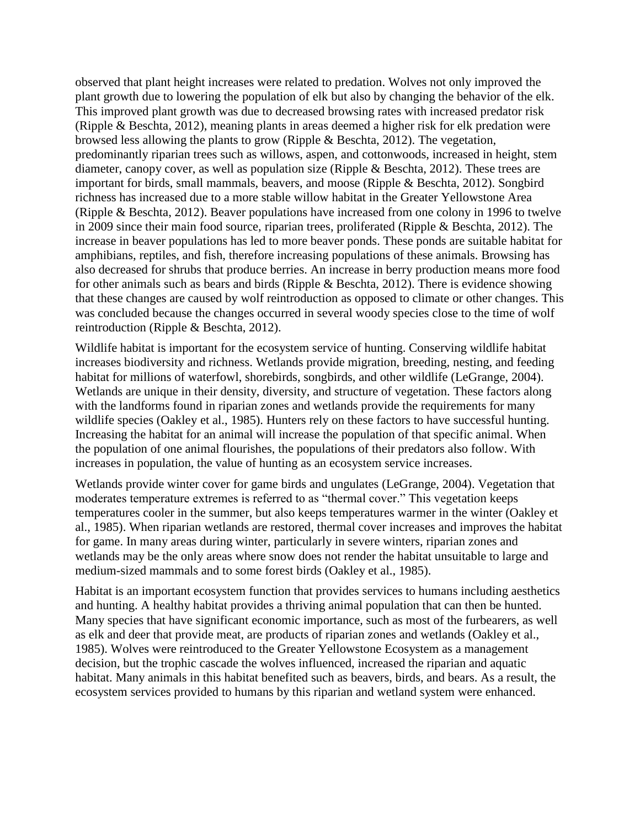observed that plant height increases were related to predation. Wolves not only improved the plant growth due to lowering the population of elk but also by changing the behavior of the elk. This improved plant growth was due to decreased browsing rates with increased predator risk (Ripple & Beschta, 2012), meaning plants in areas deemed a higher risk for elk predation were browsed less allowing the plants to grow (Ripple & Beschta, 2012). The vegetation, predominantly riparian trees such as willows, aspen, and cottonwoods, increased in height, stem diameter, canopy cover, as well as population size (Ripple & Beschta, 2012). These trees are important for birds, small mammals, beavers, and moose (Ripple & Beschta, 2012). Songbird richness has increased due to a more stable willow habitat in the Greater Yellowstone Area (Ripple & Beschta, 2012). Beaver populations have increased from one colony in 1996 to twelve in 2009 since their main food source, riparian trees, proliferated (Ripple & Beschta, 2012). The increase in beaver populations has led to more beaver ponds. These ponds are suitable habitat for amphibians, reptiles, and fish, therefore increasing populations of these animals. Browsing has also decreased for shrubs that produce berries. An increase in berry production means more food for other animals such as bears and birds (Ripple & Beschta, 2012). There is evidence showing that these changes are caused by wolf reintroduction as opposed to climate or other changes. This was concluded because the changes occurred in several woody species close to the time of wolf reintroduction (Ripple & Beschta, 2012).

Wildlife habitat is important for the ecosystem service of hunting. Conserving wildlife habitat increases biodiversity and richness. Wetlands provide migration, breeding, nesting, and feeding habitat for millions of waterfowl, shorebirds, songbirds, and other wildlife (LeGrange, 2004). Wetlands are unique in their density, diversity, and structure of vegetation. These factors along with the landforms found in riparian zones and wetlands provide the requirements for many wildlife species (Oakley et al., 1985). Hunters rely on these factors to have successful hunting. Increasing the habitat for an animal will increase the population of that specific animal. When the population of one animal flourishes, the populations of their predators also follow. With increases in population, the value of hunting as an ecosystem service increases.

Wetlands provide winter cover for game birds and ungulates (LeGrange, 2004). Vegetation that moderates temperature extremes is referred to as "thermal cover." This vegetation keeps temperatures cooler in the summer, but also keeps temperatures warmer in the winter (Oakley et al., 1985). When riparian wetlands are restored, thermal cover increases and improves the habitat for game. In many areas during winter, particularly in severe winters, riparian zones and wetlands may be the only areas where snow does not render the habitat unsuitable to large and medium-sized mammals and to some forest birds (Oakley et al., 1985).

Habitat is an important ecosystem function that provides services to humans including aesthetics and hunting. A healthy habitat provides a thriving animal population that can then be hunted. Many species that have significant economic importance, such as most of the furbearers, as well as elk and deer that provide meat, are products of riparian zones and wetlands (Oakley et al., 1985). Wolves were reintroduced to the Greater Yellowstone Ecosystem as a management decision, but the trophic cascade the wolves influenced, increased the riparian and aquatic habitat. Many animals in this habitat benefited such as beavers, birds, and bears. As a result, the ecosystem services provided to humans by this riparian and wetland system were enhanced.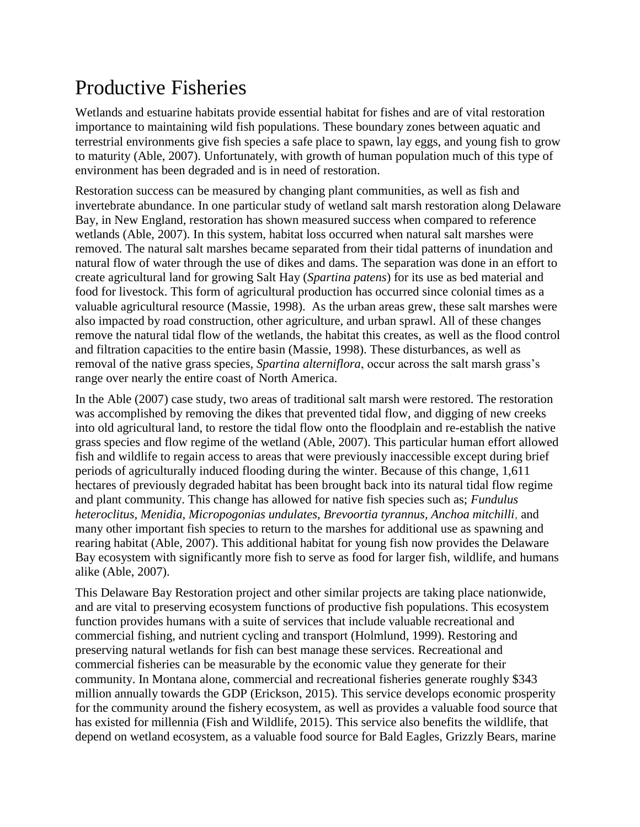# Productive Fisheries

Wetlands and estuarine habitats provide essential habitat for fishes and are of vital restoration importance to maintaining wild fish populations. These boundary zones between aquatic and terrestrial environments give fish species a safe place to spawn, lay eggs, and young fish to grow to maturity (Able, 2007). Unfortunately, with growth of human population much of this type of environment has been degraded and is in need of restoration.

Restoration success can be measured by changing plant communities, as well as fish and invertebrate abundance. In one particular study of wetland salt marsh restoration along Delaware Bay, in New England, restoration has shown measured success when compared to reference wetlands (Able, 2007). In this system, habitat loss occurred when natural salt marshes were removed. The natural salt marshes became separated from their tidal patterns of inundation and natural flow of water through the use of dikes and dams. The separation was done in an effort to create agricultural land for growing Salt Hay (*Spartina patens*) for its use as bed material and food for livestock. This form of agricultural production has occurred since colonial times as a valuable agricultural resource (Massie, 1998). As the urban areas grew, these salt marshes were also impacted by road construction, other agriculture, and urban sprawl. All of these changes remove the natural tidal flow of the wetlands, the habitat this creates, as well as the flood control and filtration capacities to the entire basin (Massie, 1998). These disturbances, as well as removal of the native grass species, *Spartina alterniflora*, occur across the salt marsh grass's range over nearly the entire coast of North America.

In the Able (2007) case study, two areas of traditional salt marsh were restored. The restoration was accomplished by removing the dikes that prevented tidal flow, and digging of new creeks into old agricultural land, to restore the tidal flow onto the floodplain and re-establish the native grass species and flow regime of the wetland (Able, 2007). This particular human effort allowed fish and wildlife to regain access to areas that were previously inaccessible except during brief periods of agriculturally induced flooding during the winter. Because of this change, 1,611 hectares of previously degraded habitat has been brought back into its natural tidal flow regime and plant community. This change has allowed for native fish species such as; *Fundulus heteroclitus, Menidia, Micropogonias undulates, Brevoortia tyrannus, Anchoa mitchilli*, and many other important fish species to return to the marshes for additional use as spawning and rearing habitat (Able, 2007). This additional habitat for young fish now provides the Delaware Bay ecosystem with significantly more fish to serve as food for larger fish, wildlife, and humans alike (Able, 2007).

This Delaware Bay Restoration project and other similar projects are taking place nationwide, and are vital to preserving ecosystem functions of productive fish populations. This ecosystem function provides humans with a suite of services that include valuable recreational and commercial fishing, and nutrient cycling and transport (Holmlund, 1999). Restoring and preserving natural wetlands for fish can best manage these services. Recreational and commercial fisheries can be measurable by the economic value they generate for their community. In Montana alone, commercial and recreational fisheries generate roughly \$343 million annually towards the GDP (Erickson, 2015). This service develops economic prosperity for the community around the fishery ecosystem, as well as provides a valuable food source that has existed for millennia (Fish and Wildlife, 2015). This service also benefits the wildlife, that depend on wetland ecosystem, as a valuable food source for Bald Eagles, Grizzly Bears, marine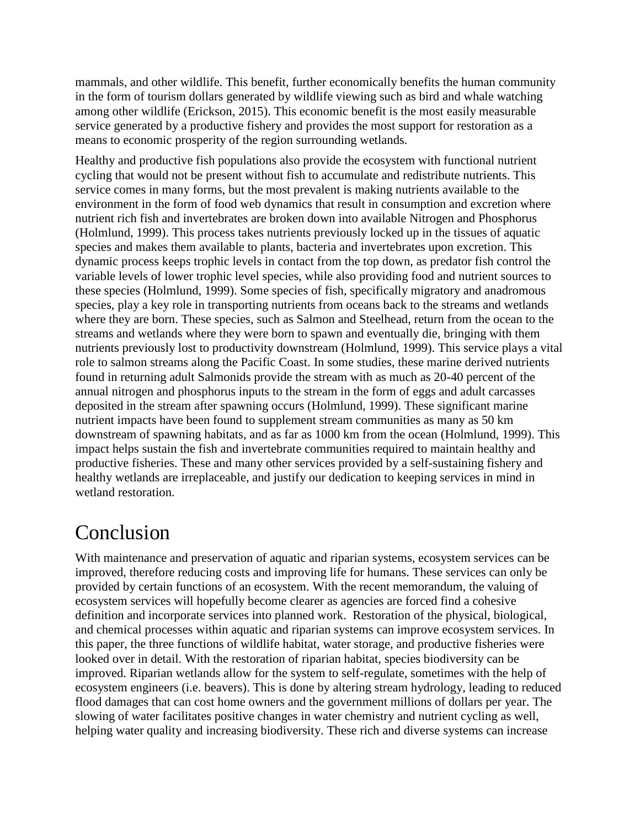mammals, and other wildlife. This benefit, further economically benefits the human community in the form of tourism dollars generated by wildlife viewing such as bird and whale watching among other wildlife (Erickson, 2015). This economic benefit is the most easily measurable service generated by a productive fishery and provides the most support for restoration as a means to economic prosperity of the region surrounding wetlands.

Healthy and productive fish populations also provide the ecosystem with functional nutrient cycling that would not be present without fish to accumulate and redistribute nutrients. This service comes in many forms, but the most prevalent is making nutrients available to the environment in the form of food web dynamics that result in consumption and excretion where nutrient rich fish and invertebrates are broken down into available Nitrogen and Phosphorus (Holmlund, 1999). This process takes nutrients previously locked up in the tissues of aquatic species and makes them available to plants, bacteria and invertebrates upon excretion. This dynamic process keeps trophic levels in contact from the top down, as predator fish control the variable levels of lower trophic level species, while also providing food and nutrient sources to these species (Holmlund, 1999). Some species of fish, specifically migratory and anadromous species, play a key role in transporting nutrients from oceans back to the streams and wetlands where they are born. These species, such as Salmon and Steelhead, return from the ocean to the streams and wetlands where they were born to spawn and eventually die, bringing with them nutrients previously lost to productivity downstream (Holmlund, 1999). This service plays a vital role to salmon streams along the Pacific Coast. In some studies, these marine derived nutrients found in returning adult Salmonids provide the stream with as much as 20-40 percent of the annual nitrogen and phosphorus inputs to the stream in the form of eggs and adult carcasses deposited in the stream after spawning occurs (Holmlund, 1999). These significant marine nutrient impacts have been found to supplement stream communities as many as 50 km downstream of spawning habitats, and as far as 1000 km from the ocean (Holmlund, 1999). This impact helps sustain the fish and invertebrate communities required to maintain healthy and productive fisheries. These and many other services provided by a self-sustaining fishery and healthy wetlands are irreplaceable, and justify our dedication to keeping services in mind in wetland restoration.

### Conclusion

With maintenance and preservation of aquatic and riparian systems, ecosystem services can be improved, therefore reducing costs and improving life for humans. These services can only be provided by certain functions of an ecosystem. With the recent memorandum, the valuing of ecosystem services will hopefully become clearer as agencies are forced find a cohesive definition and incorporate services into planned work. Restoration of the physical, biological, and chemical processes within aquatic and riparian systems can improve ecosystem services. In this paper, the three functions of wildlife habitat, water storage, and productive fisheries were looked over in detail. With the restoration of riparian habitat, species biodiversity can be improved. Riparian wetlands allow for the system to self-regulate, sometimes with the help of ecosystem engineers (i.e. beavers). This is done by altering stream hydrology, leading to reduced flood damages that can cost home owners and the government millions of dollars per year. The slowing of water facilitates positive changes in water chemistry and nutrient cycling as well, helping water quality and increasing biodiversity. These rich and diverse systems can increase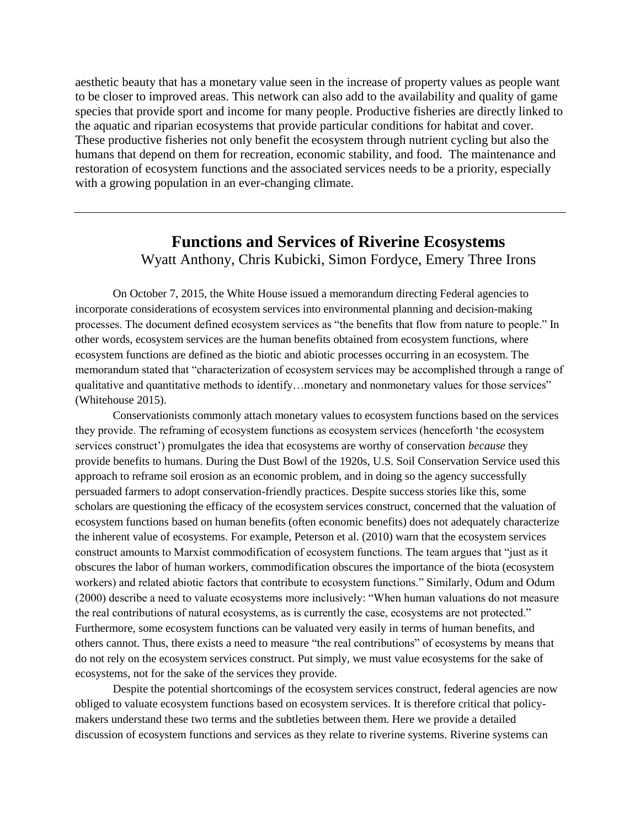aesthetic beauty that has a monetary value seen in the increase of property values as people want to be closer to improved areas. This network can also add to the availability and quality of game species that provide sport and income for many people. Productive fisheries are directly linked to the aquatic and riparian ecosystems that provide particular conditions for habitat and cover. These productive fisheries not only benefit the ecosystem through nutrient cycling but also the humans that depend on them for recreation, economic stability, and food. The maintenance and restoration of ecosystem functions and the associated services needs to be a priority, especially with a growing population in an ever-changing climate.

### **Functions and Services of Riverine Ecosystems** Wyatt Anthony, Chris Kubicki, Simon Fordyce, Emery Three Irons

On October 7, 2015, the White House issued a memorandum directing Federal agencies to incorporate considerations of ecosystem services into environmental planning and decision-making processes. The document defined ecosystem services as "the benefits that flow from nature to people." In other words, ecosystem services are the human benefits obtained from ecosystem functions, where ecosystem functions are defined as the biotic and abiotic processes occurring in an ecosystem. The memorandum stated that "characterization of ecosystem services may be accomplished through a range of qualitative and quantitative methods to identify…monetary and nonmonetary values for those services" (Whitehouse 2015).

Conservationists commonly attach monetary values to ecosystem functions based on the services they provide. The reframing of ecosystem functions as ecosystem services (henceforth 'the ecosystem services construct') promulgates the idea that ecosystems are worthy of conservation *because* they provide benefits to humans. During the Dust Bowl of the 1920s, U.S. Soil Conservation Service used this approach to reframe soil erosion as an economic problem, and in doing so the agency successfully persuaded farmers to adopt conservation-friendly practices. Despite success stories like this, some scholars are questioning the efficacy of the ecosystem services construct, concerned that the valuation of ecosystem functions based on human benefits (often economic benefits) does not adequately characterize the inherent value of ecosystems. For example, Peterson et al. (2010) warn that the ecosystem services construct amounts to Marxist commodification of ecosystem functions. The team argues that "just as it obscures the labor of human workers, commodification obscures the importance of the biota (ecosystem workers) and related abiotic factors that contribute to ecosystem functions." Similarly, Odum and Odum (2000) describe a need to valuate ecosystems more inclusively: "When human valuations do not measure the real contributions of natural ecosystems, as is currently the case, ecosystems are not protected." Furthermore, some ecosystem functions can be valuated very easily in terms of human benefits, and others cannot. Thus, there exists a need to measure "the real contributions" of ecosystems by means that do not rely on the ecosystem services construct. Put simply, we must value ecosystems for the sake of ecosystems, not for the sake of the services they provide.

Despite the potential shortcomings of the ecosystem services construct, federal agencies are now obliged to valuate ecosystem functions based on ecosystem services. It is therefore critical that policymakers understand these two terms and the subtleties between them. Here we provide a detailed discussion of ecosystem functions and services as they relate to riverine systems. Riverine systems can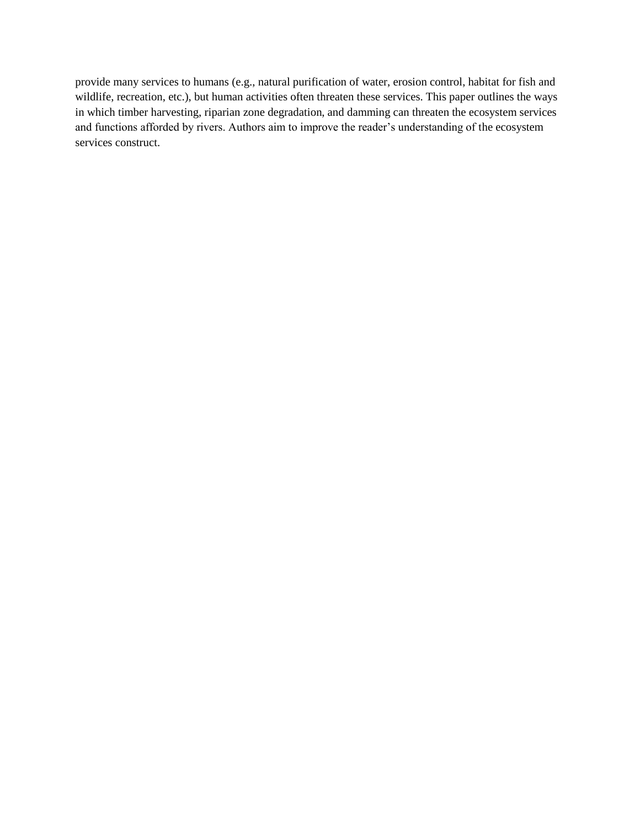provide many services to humans (e.g., natural purification of water, erosion control, habitat for fish and wildlife, recreation, etc.), but human activities often threaten these services. This paper outlines the ways in which timber harvesting, riparian zone degradation, and damming can threaten the ecosystem services and functions afforded by rivers. Authors aim to improve the reader's understanding of the ecosystem services construct.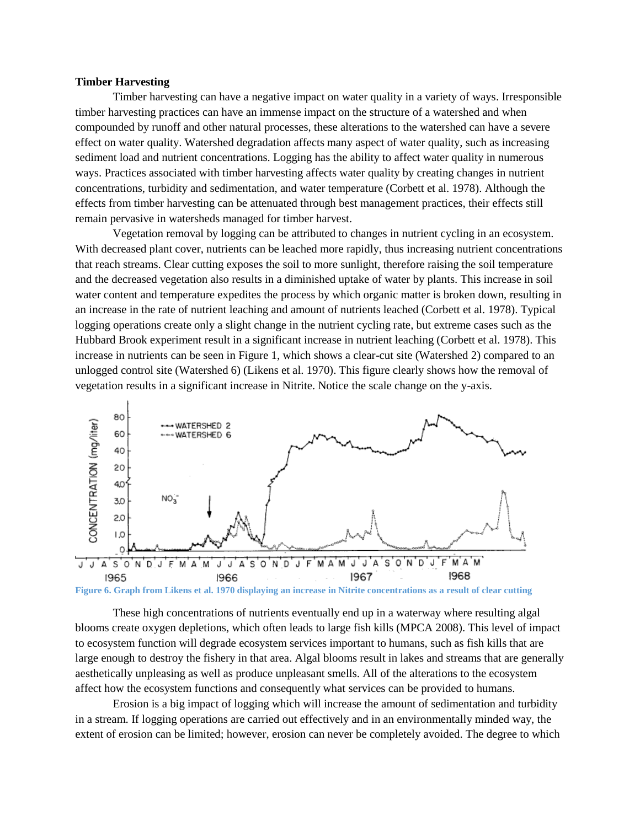#### **Timber Harvesting**

Timber harvesting can have a negative impact on water quality in a variety of ways. Irresponsible timber harvesting practices can have an immense impact on the structure of a watershed and when compounded by runoff and other natural processes, these alterations to the watershed can have a severe effect on water quality. Watershed degradation affects many aspect of water quality, such as increasing sediment load and nutrient concentrations. Logging has the ability to affect water quality in numerous ways. Practices associated with timber harvesting affects water quality by creating changes in nutrient concentrations, turbidity and sedimentation, and water temperature (Corbett et al. 1978). Although the effects from timber harvesting can be attenuated through best management practices, their effects still remain pervasive in watersheds managed for timber harvest.

Vegetation removal by logging can be attributed to changes in nutrient cycling in an ecosystem. With decreased plant cover, nutrients can be leached more rapidly, thus increasing nutrient concentrations that reach streams. Clear cutting exposes the soil to more sunlight, therefore raising the soil temperature and the decreased vegetation also results in a diminished uptake of water by plants. This increase in soil water content and temperature expedites the process by which organic matter is broken down, resulting in an increase in the rate of nutrient leaching and amount of nutrients leached (Corbett et al. 1978). Typical logging operations create only a slight change in the nutrient cycling rate, but extreme cases such as the Hubbard Brook experiment result in a significant increase in nutrient leaching (Corbett et al. 1978). This increase in nutrients can be seen in Figure 1, which shows a clear-cut site (Watershed 2) compared to an unlogged control site (Watershed 6) (Likens et al. 1970). This figure clearly shows how the removal of vegetation results in a significant increase in Nitrite. Notice the scale change on the y-axis.



**Figure 6. Graph from Likens et al. 1970 displaying an increase in Nitrite concentrations as a result of clear cutting**

These high concentrations of nutrients eventually end up in a waterway where resulting algal blooms create oxygen depletions, which often leads to large fish kills (MPCA 2008). This level of impact to ecosystem function will degrade ecosystem services important to humans, such as fish kills that are large enough to destroy the fishery in that area. Algal blooms result in lakes and streams that are generally aesthetically unpleasing as well as produce unpleasant smells. All of the alterations to the ecosystem affect how the ecosystem functions and consequently what services can be provided to humans.

Erosion is a big impact of logging which will increase the amount of sedimentation and turbidity in a stream. If logging operations are carried out effectively and in an environmentally minded way, the extent of erosion can be limited; however, erosion can never be completely avoided. The degree to which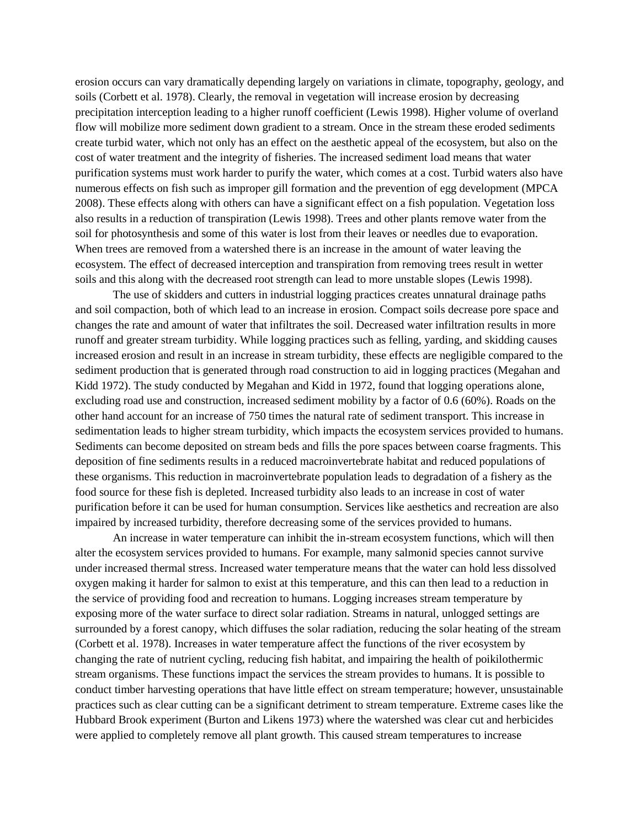erosion occurs can vary dramatically depending largely on variations in climate, topography, geology, and soils (Corbett et al. 1978). Clearly, the removal in vegetation will increase erosion by decreasing precipitation interception leading to a higher runoff coefficient (Lewis 1998). Higher volume of overland flow will mobilize more sediment down gradient to a stream. Once in the stream these eroded sediments create turbid water, which not only has an effect on the aesthetic appeal of the ecosystem, but also on the cost of water treatment and the integrity of fisheries. The increased sediment load means that water purification systems must work harder to purify the water, which comes at a cost. Turbid waters also have numerous effects on fish such as improper gill formation and the prevention of egg development (MPCA 2008). These effects along with others can have a significant effect on a fish population. Vegetation loss also results in a reduction of transpiration (Lewis 1998). Trees and other plants remove water from the soil for photosynthesis and some of this water is lost from their leaves or needles due to evaporation. When trees are removed from a watershed there is an increase in the amount of water leaving the ecosystem. The effect of decreased interception and transpiration from removing trees result in wetter soils and this along with the decreased root strength can lead to more unstable slopes (Lewis 1998).

The use of skidders and cutters in industrial logging practices creates unnatural drainage paths and soil compaction, both of which lead to an increase in erosion. Compact soils decrease pore space and changes the rate and amount of water that infiltrates the soil. Decreased water infiltration results in more runoff and greater stream turbidity. While logging practices such as felling, yarding, and skidding causes increased erosion and result in an increase in stream turbidity, these effects are negligible compared to the sediment production that is generated through road construction to aid in logging practices (Megahan and Kidd 1972). The study conducted by Megahan and Kidd in 1972, found that logging operations alone, excluding road use and construction, increased sediment mobility by a factor of 0.6 (60%). Roads on the other hand account for an increase of 750 times the natural rate of sediment transport. This increase in sedimentation leads to higher stream turbidity, which impacts the ecosystem services provided to humans. Sediments can become deposited on stream beds and fills the pore spaces between coarse fragments. This deposition of fine sediments results in a reduced macroinvertebrate habitat and reduced populations of these organisms. This reduction in macroinvertebrate population leads to degradation of a fishery as the food source for these fish is depleted. Increased turbidity also leads to an increase in cost of water purification before it can be used for human consumption. Services like aesthetics and recreation are also impaired by increased turbidity, therefore decreasing some of the services provided to humans.

An increase in water temperature can inhibit the in-stream ecosystem functions, which will then alter the ecosystem services provided to humans. For example, many salmonid species cannot survive under increased thermal stress. Increased water temperature means that the water can hold less dissolved oxygen making it harder for salmon to exist at this temperature, and this can then lead to a reduction in the service of providing food and recreation to humans. Logging increases stream temperature by exposing more of the water surface to direct solar radiation. Streams in natural, unlogged settings are surrounded by a forest canopy, which diffuses the solar radiation, reducing the solar heating of the stream (Corbett et al. 1978). Increases in water temperature affect the functions of the river ecosystem by changing the rate of nutrient cycling, reducing fish habitat, and impairing the health of poikilothermic stream organisms. These functions impact the services the stream provides to humans. It is possible to conduct timber harvesting operations that have little effect on stream temperature; however, unsustainable practices such as clear cutting can be a significant detriment to stream temperature. Extreme cases like the Hubbard Brook experiment (Burton and Likens 1973) where the watershed was clear cut and herbicides were applied to completely remove all plant growth. This caused stream temperatures to increase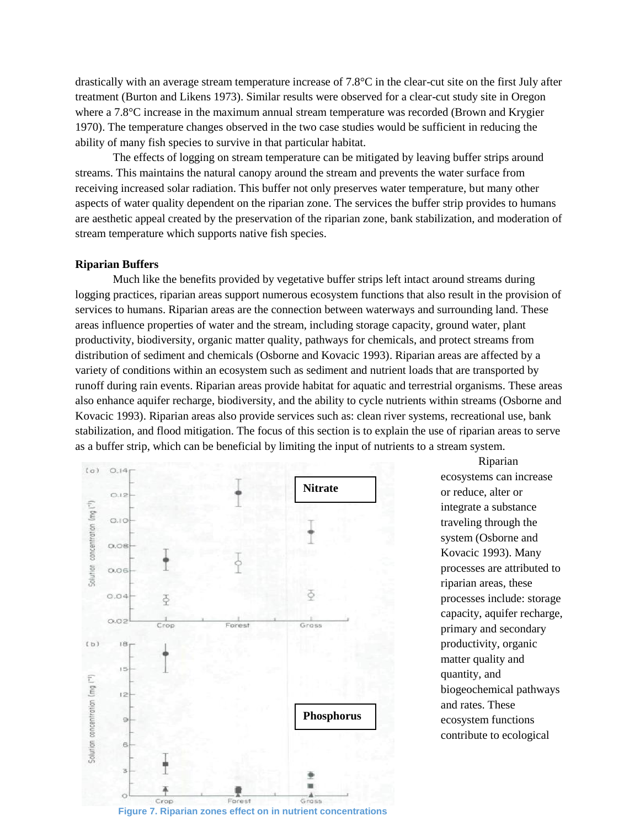drastically with an average stream temperature increase of 7.8°C in the clear-cut site on the first July after treatment (Burton and Likens 1973). Similar results were observed for a clear-cut study site in Oregon where a 7.8°C increase in the maximum annual stream temperature was recorded (Brown and Krygier 1970). The temperature changes observed in the two case studies would be sufficient in reducing the ability of many fish species to survive in that particular habitat.

The effects of logging on stream temperature can be mitigated by leaving buffer strips around streams. This maintains the natural canopy around the stream and prevents the water surface from receiving increased solar radiation. This buffer not only preserves water temperature, but many other aspects of water quality dependent on the riparian zone. The services the buffer strip provides to humans are aesthetic appeal created by the preservation of the riparian zone, bank stabilization, and moderation of stream temperature which supports native fish species.

#### **Riparian Buffers**

Much like the benefits provided by vegetative buffer strips left intact around streams during logging practices, riparian areas support numerous ecosystem functions that also result in the provision of services to humans. Riparian areas are the connection between waterways and surrounding land. These areas influence properties of water and the stream, including storage capacity, ground water, plant productivity, biodiversity, organic matter quality, pathways for chemicals, and protect streams from distribution of sediment and chemicals (Osborne and Kovacic 1993). Riparian areas are affected by a variety of conditions within an ecosystem such as sediment and nutrient loads that are transported by runoff during rain events. Riparian areas provide habitat for aquatic and terrestrial organisms. These areas also enhance aquifer recharge, biodiversity, and the ability to cycle nutrients within streams (Osborne and Kovacic 1993). Riparian areas also provide services such as: clean river systems, recreational use, bank stabilization, and flood mitigation. The focus of this section is to explain the use of riparian areas to serve as a buffer strip, which can be beneficial by limiting the input of nutrients to a stream system.



Riparian ecosystems can increase or reduce, alter or integrate a substance traveling through the system (Osborne and Kovacic 1993). Many processes are attributed to riparian areas, these processes include: storage capacity, aquifer recharge, primary and secondary productivity, organic matter quality and quantity, and biogeochemical pathways and rates. These ecosystem functions contribute to ecological

**Figure 7. Riparian zones effect on in nutrient concentrations**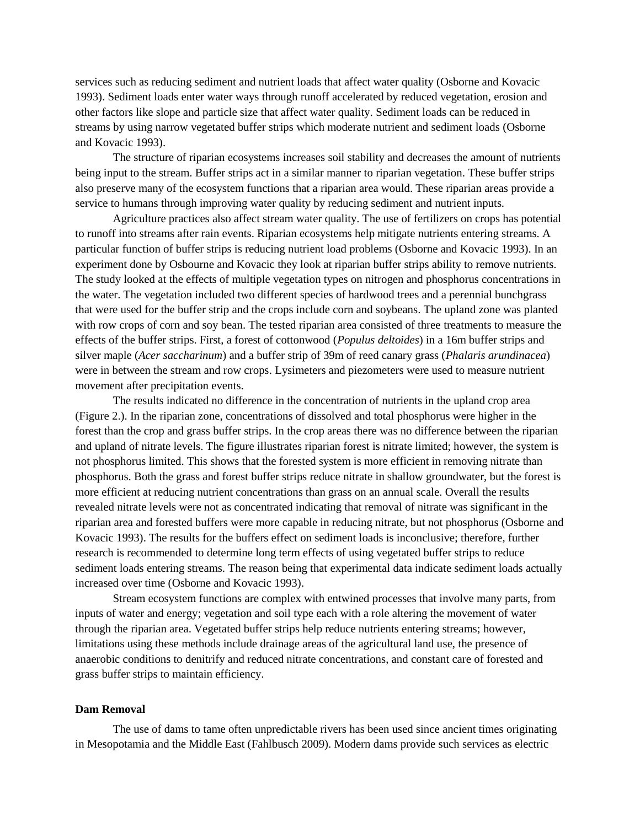services such as reducing sediment and nutrient loads that affect water quality (Osborne and Kovacic 1993). Sediment loads enter water ways through runoff accelerated by reduced vegetation, erosion and other factors like slope and particle size that affect water quality. Sediment loads can be reduced in streams by using narrow vegetated buffer strips which moderate nutrient and sediment loads (Osborne and Kovacic 1993).

The structure of riparian ecosystems increases soil stability and decreases the amount of nutrients being input to the stream. Buffer strips act in a similar manner to riparian vegetation. These buffer strips also preserve many of the ecosystem functions that a riparian area would. These riparian areas provide a service to humans through improving water quality by reducing sediment and nutrient inputs.

Agriculture practices also affect stream water quality. The use of fertilizers on crops has potential to runoff into streams after rain events. Riparian ecosystems help mitigate nutrients entering streams. A particular function of buffer strips is reducing nutrient load problems (Osborne and Kovacic 1993). In an experiment done by Osbourne and Kovacic they look at riparian buffer strips ability to remove nutrients. The study looked at the effects of multiple vegetation types on nitrogen and phosphorus concentrations in the water. The vegetation included two different species of hardwood trees and a perennial bunchgrass that were used for the buffer strip and the crops include corn and soybeans. The upland zone was planted with row crops of corn and soy bean. The tested riparian area consisted of three treatments to measure the effects of the buffer strips. First, a forest of cottonwood (*Populus deltoides*) in a 16m buffer strips and silver maple (*Acer saccharinum*) and a buffer strip of 39m of reed canary grass (*Phalaris arundinacea*) were in between the stream and row crops. Lysimeters and piezometers were used to measure nutrient movement after precipitation events.

The results indicated no difference in the concentration of nutrients in the upland crop area (Figure 2.). In the riparian zone, concentrations of dissolved and total phosphorus were higher in the forest than the crop and grass buffer strips. In the crop areas there was no difference between the riparian and upland of nitrate levels. The figure illustrates riparian forest is nitrate limited; however, the system is not phosphorus limited. This shows that the forested system is more efficient in removing nitrate than phosphorus. Both the grass and forest buffer strips reduce nitrate in shallow groundwater, but the forest is more efficient at reducing nutrient concentrations than grass on an annual scale. Overall the results revealed nitrate levels were not as concentrated indicating that removal of nitrate was significant in the riparian area and forested buffers were more capable in reducing nitrate, but not phosphorus (Osborne and Kovacic 1993). The results for the buffers effect on sediment loads is inconclusive; therefore, further research is recommended to determine long term effects of using vegetated buffer strips to reduce sediment loads entering streams. The reason being that experimental data indicate sediment loads actually increased over time (Osborne and Kovacic 1993).

Stream ecosystem functions are complex with entwined processes that involve many parts, from inputs of water and energy; vegetation and soil type each with a role altering the movement of water through the riparian area. Vegetated buffer strips help reduce nutrients entering streams; however, limitations using these methods include drainage areas of the agricultural land use, the presence of anaerobic conditions to denitrify and reduced nitrate concentrations, and constant care of forested and grass buffer strips to maintain efficiency.

#### **Dam Removal**

The use of dams to tame often unpredictable rivers has been used since ancient times originating in Mesopotamia and the Middle East (Fahlbusch 2009). Modern dams provide such services as electric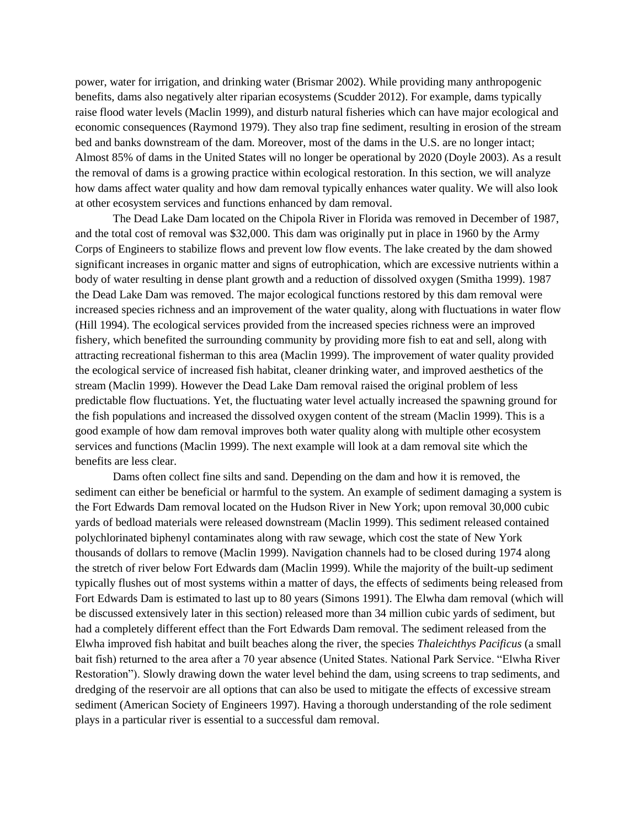power, water for irrigation, and drinking water (Brismar 2002). While providing many anthropogenic benefits, dams also negatively alter riparian ecosystems (Scudder 2012). For example, dams typically raise flood water levels (Maclin 1999), and disturb natural fisheries which can have major ecological and economic consequences (Raymond 1979). They also trap fine sediment, resulting in erosion of the stream bed and banks downstream of the dam. Moreover, most of the dams in the U.S. are no longer intact; Almost 85% of dams in the United States will no longer be operational by 2020 (Doyle 2003). As a result the removal of dams is a growing practice within ecological restoration. In this section, we will analyze how dams affect water quality and how dam removal typically enhances water quality. We will also look at other ecosystem services and functions enhanced by dam removal.

The Dead Lake Dam located on the Chipola River in Florida was removed in December of 1987, and the total cost of removal was \$32,000. This dam was originally put in place in 1960 by the Army Corps of Engineers to stabilize flows and prevent low flow events. The lake created by the dam showed significant increases in organic matter and signs of eutrophication, which are excessive nutrients within a body of water resulting in dense plant growth and a reduction of dissolved oxygen (Smitha 1999). 1987 the Dead Lake Dam was removed. The major ecological functions restored by this dam removal were increased species richness and an improvement of the water quality, along with fluctuations in water flow (Hill 1994). The ecological services provided from the increased species richness were an improved fishery, which benefited the surrounding community by providing more fish to eat and sell, along with attracting recreational fisherman to this area (Maclin 1999). The improvement of water quality provided the ecological service of increased fish habitat, cleaner drinking water, and improved aesthetics of the stream (Maclin 1999). However the Dead Lake Dam removal raised the original problem of less predictable flow fluctuations. Yet, the fluctuating water level actually increased the spawning ground for the fish populations and increased the dissolved oxygen content of the stream (Maclin 1999). This is a good example of how dam removal improves both water quality along with multiple other ecosystem services and functions (Maclin 1999). The next example will look at a dam removal site which the benefits are less clear.

Dams often collect fine silts and sand. Depending on the dam and how it is removed, the sediment can either be beneficial or harmful to the system. An example of sediment damaging a system is the Fort Edwards Dam removal located on the Hudson River in New York; upon removal 30,000 cubic yards of bedload materials were released downstream (Maclin 1999). This sediment released contained polychlorinated biphenyl contaminates along with raw sewage, which cost the state of New York thousands of dollars to remove (Maclin 1999). Navigation channels had to be closed during 1974 along the stretch of river below Fort Edwards dam (Maclin 1999). While the majority of the built-up sediment typically flushes out of most systems within a matter of days, the effects of sediments being released from Fort Edwards Dam is estimated to last up to 80 years (Simons 1991). The Elwha dam removal (which will be discussed extensively later in this section) released more than 34 million cubic yards of sediment, but had a completely different effect than the Fort Edwards Dam removal. The sediment released from the Elwha improved fish habitat and built beaches along the river, the species *Thaleichthys Pacificus* (a small bait fish) returned to the area after a 70 year absence (United States. National Park Service. "Elwha River Restoration"). Slowly drawing down the water level behind the dam, using screens to trap sediments, and dredging of the reservoir are all options that can also be used to mitigate the effects of excessive stream sediment (American Society of Engineers 1997). Having a thorough understanding of the role sediment plays in a particular river is essential to a successful dam removal.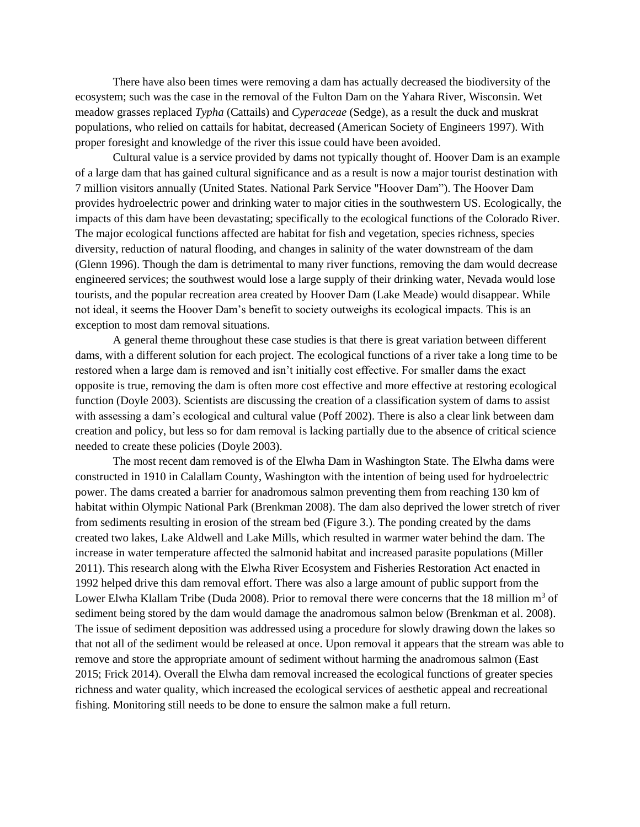There have also been times were removing a dam has actually decreased the biodiversity of the ecosystem; such was the case in the removal of the Fulton Dam on the Yahara River, Wisconsin. Wet meadow grasses replaced *Typha* (Cattails) and *Cyperaceae* (Sedge), as a result the duck and muskrat populations, who relied on cattails for habitat, decreased (American Society of Engineers 1997). With proper foresight and knowledge of the river this issue could have been avoided.

Cultural value is a service provided by dams not typically thought of. Hoover Dam is an example of a large dam that has gained cultural significance and as a result is now a major tourist destination with 7 million visitors annually (United States. National Park Service "Hoover Dam"). The Hoover Dam provides hydroelectric power and drinking water to major cities in the southwestern US. Ecologically, the impacts of this dam have been devastating; specifically to the ecological functions of the Colorado River. The major ecological functions affected are habitat for fish and vegetation, species richness, species diversity, reduction of natural flooding, and changes in salinity of the water downstream of the dam (Glenn 1996). Though the dam is detrimental to many river functions, removing the dam would decrease engineered services; the southwest would lose a large supply of their drinking water, Nevada would lose tourists, and the popular recreation area created by Hoover Dam (Lake Meade) would disappear. While not ideal, it seems the Hoover Dam's benefit to society outweighs its ecological impacts. This is an exception to most dam removal situations.

A general theme throughout these case studies is that there is great variation between different dams, with a different solution for each project. The ecological functions of a river take a long time to be restored when a large dam is removed and isn't initially cost effective. For smaller dams the exact opposite is true, removing the dam is often more cost effective and more effective at restoring ecological function (Doyle 2003). Scientists are discussing the creation of a classification system of dams to assist with assessing a dam's ecological and cultural value (Poff 2002). There is also a clear link between dam creation and policy, but less so for dam removal is lacking partially due to the absence of critical science needed to create these policies (Doyle 2003).

The most recent dam removed is of the Elwha Dam in Washington State. The Elwha dams were constructed in 1910 in Calallam County, Washington with the intention of being used for hydroelectric power. The dams created a barrier for anadromous salmon preventing them from reaching 130 km of habitat within Olympic National Park (Brenkman 2008). The dam also deprived the lower stretch of river from sediments resulting in erosion of the stream bed (Figure 3.). The ponding created by the dams created two lakes, Lake Aldwell and Lake Mills, which resulted in warmer water behind the dam. The increase in water temperature affected the salmonid habitat and increased parasite populations (Miller 2011). This research along with the Elwha River Ecosystem and Fisheries Restoration Act enacted in 1992 helped drive this dam removal effort. There was also a large amount of public support from the Lower Elwha Klallam Tribe (Duda 2008). Prior to removal there were concerns that the 18 million  $m<sup>3</sup>$  of sediment being stored by the dam would damage the anadromous salmon below (Brenkman et al. 2008). The issue of sediment deposition was addressed using a procedure for slowly drawing down the lakes so that not all of the sediment would be released at once. Upon removal it appears that the stream was able to remove and store the appropriate amount of sediment without harming the anadromous salmon (East 2015; Frick 2014). Overall the Elwha dam removal increased the ecological functions of greater species richness and water quality, which increased the ecological services of aesthetic appeal and recreational fishing. Monitoring still needs to be done to ensure the salmon make a full return.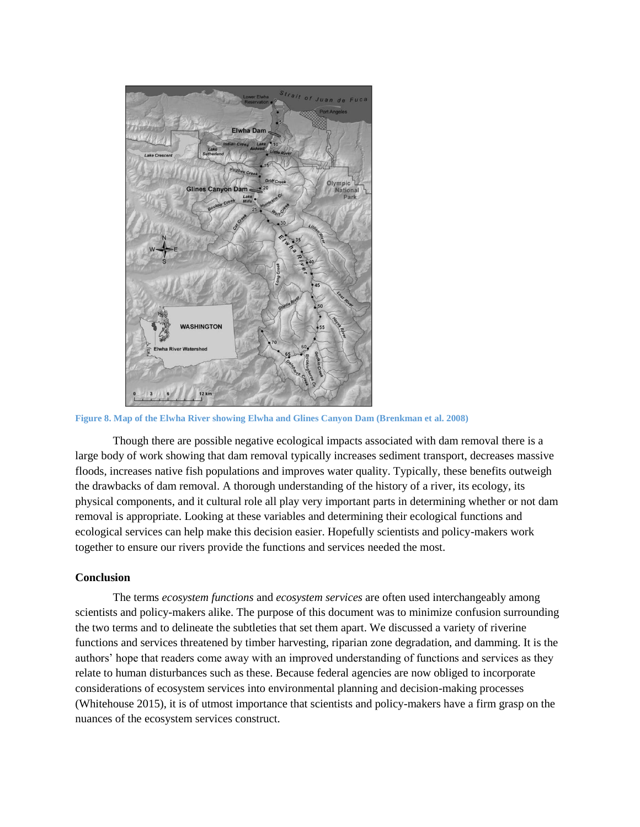

**Figure 8. Map of the Elwha River showing Elwha and Glines Canyon Dam (Brenkman et al. 2008)**

Though there are possible negative ecological impacts associated with dam removal there is a large body of work showing that dam removal typically increases sediment transport, decreases massive floods, increases native fish populations and improves water quality. Typically, these benefits outweigh the drawbacks of dam removal. A thorough understanding of the history of a river, its ecology, its physical components, and it cultural role all play very important parts in determining whether or not dam removal is appropriate. Looking at these variables and determining their ecological functions and ecological services can help make this decision easier. Hopefully scientists and policy-makers work together to ensure our rivers provide the functions and services needed the most.

#### **Conclusion**

The terms *ecosystem functions* and *ecosystem services* are often used interchangeably among scientists and policy-makers alike. The purpose of this document was to minimize confusion surrounding the two terms and to delineate the subtleties that set them apart. We discussed a variety of riverine functions and services threatened by timber harvesting, riparian zone degradation, and damming. It is the authors' hope that readers come away with an improved understanding of functions and services as they relate to human disturbances such as these. Because federal agencies are now obliged to incorporate considerations of ecosystem services into environmental planning and decision-making processes (Whitehouse 2015), it is of utmost importance that scientists and policy-makers have a firm grasp on the nuances of the ecosystem services construct.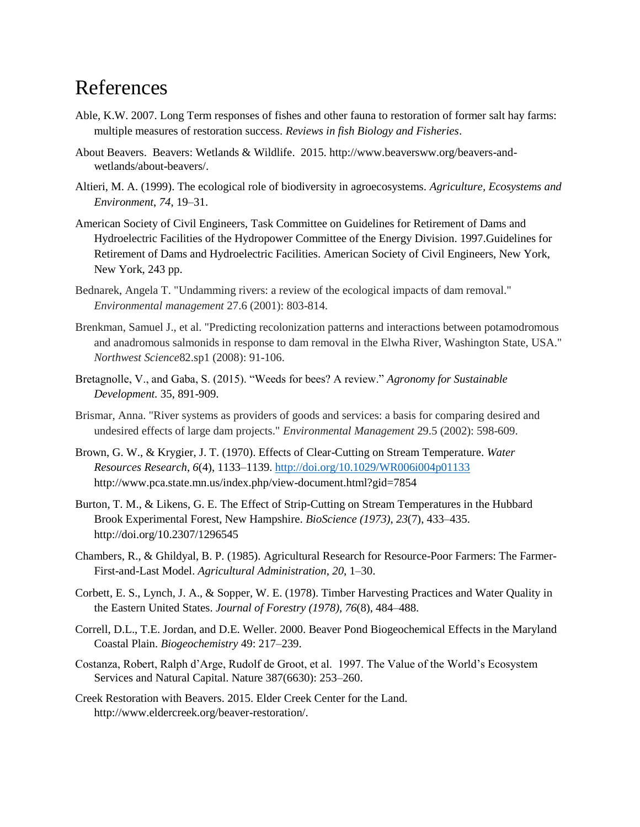### References

- Able, K.W. 2007. Long Term responses of fishes and other fauna to restoration of former salt hay farms: multiple measures of restoration success. *Reviews in fish Biology and Fisheries*.
- About Beavers. Beavers: Wetlands & Wildlife. 2015. http://www.beaversww.org/beavers-andwetlands/about-beavers/.
- Altieri, M. A. (1999). The ecological role of biodiversity in agroecosystems. *Agriculture, Ecosystems and Environment*, *74*, 19–31.
- American Society of Civil Engineers, Task Committee on Guidelines for Retirement of Dams and Hydroelectric Facilities of the Hydropower Committee of the Energy Division. 1997.Guidelines for Retirement of Dams and Hydroelectric Facilities. American Society of Civil Engineers, New York, New York, 243 pp.
- Bednarek, Angela T. "Undamming rivers: a review of the ecological impacts of dam removal." *Environmental management* 27.6 (2001): 803-814.
- Brenkman, Samuel J., et al. "Predicting recolonization patterns and interactions between potamodromous and anadromous salmonids in response to dam removal in the Elwha River, Washington State, USA." *Northwest Science*82.sp1 (2008): 91-106.
- Bretagnolle, V., and Gaba, S. (2015). "Weeds for bees? A review." *Agronomy for Sustainable Development.* 35, 891-909.
- Brismar, Anna. "River systems as providers of goods and services: a basis for comparing desired and undesired effects of large dam projects." *Environmental Management* 29.5 (2002): 598-609.
- Brown, G. W., & Krygier, J. T. (1970). Effects of Clear-Cutting on Stream Temperature. *Water Resources Research*, *6*(4), 1133–1139.<http://doi.org/10.1029/WR006i004p01133> http://www.pca.state.mn.us/index.php/view-document.html?gid=7854
- Burton, T. M., & Likens, G. E. The Effect of Strip-Cutting on Stream Temperatures in the Hubbard Brook Experimental Forest, New Hampshire. *BioScience (1973)*, *23*(7), 433–435. http://doi.org/10.2307/1296545
- Chambers, R., & Ghildyal, B. P. (1985). Agricultural Research for Resource-Poor Farmers: The Farmer-First-and-Last Model. *Agricultural Administration*, *20*, 1–30.
- Corbett, E. S., Lynch, J. A., & Sopper, W. E. (1978). Timber Harvesting Practices and Water Quality in the Eastern United States. *Journal of Forestry (1978)*, *76*(8), 484–488.
- Correll, D.L., T.E. Jordan, and D.E. Weller. 2000. Beaver Pond Biogeochemical Effects in the Maryland Coastal Plain. *Biogeochemistry* 49: 217–239.
- Costanza, Robert, Ralph d'Arge, Rudolf de Groot, et al. 1997. The Value of the World's Ecosystem Services and Natural Capital. Nature 387(6630): 253–260.
- Creek Restoration with Beavers. 2015. Elder Creek Center for the Land. http://www.eldercreek.org/beaver-restoration/.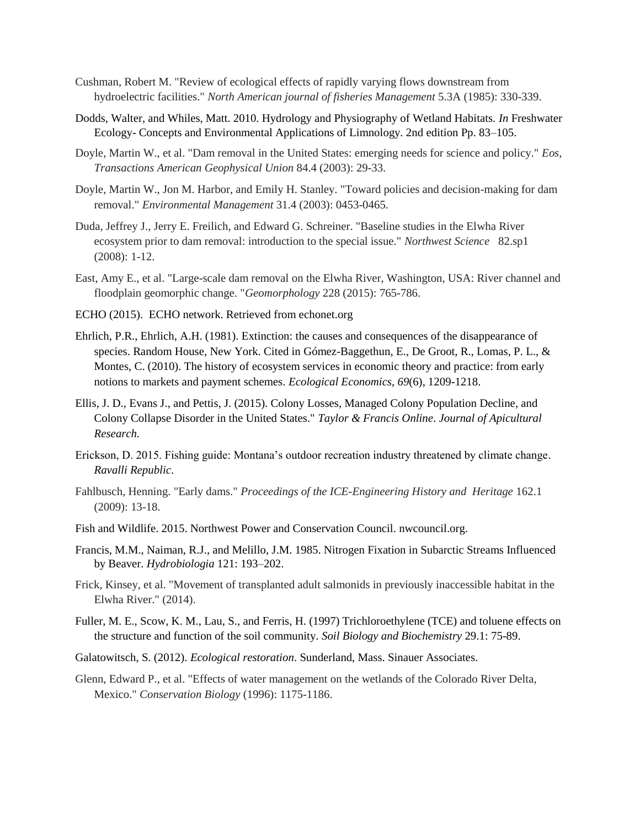- Cushman, Robert M. "Review of ecological effects of rapidly varying flows downstream from hydroelectric facilities." *North American journal of fisheries Management* 5.3A (1985): 330-339.
- Dodds, Walter, and Whiles, Matt. 2010. Hydrology and Physiography of Wetland Habitats. *In* Freshwater Ecology- Concepts and Environmental Applications of Limnology. 2nd edition Pp. 83–105.
- Doyle, Martin W., et al. "Dam removal in the United States: emerging needs for science and policy." *Eos, Transactions American Geophysical Union* 84.4 (2003): 29-33.
- Doyle, Martin W., Jon M. Harbor, and Emily H. Stanley. "Toward policies and decision-making for dam removal." *Environmental Management* 31.4 (2003): 0453-0465.
- Duda, Jeffrey J., Jerry E. Freilich, and Edward G. Schreiner. "Baseline studies in the Elwha River ecosystem prior to dam removal: introduction to the special issue." *Northwest Science* 82.sp1 (2008): 1-12.
- East, Amy E., et al. "Large-scale dam removal on the Elwha River, Washington, USA: River channel and floodplain geomorphic change. "*Geomorphology* 228 (2015): 765-786.
- ECHO (2015). ECHO network. Retrieved from echonet.org
- Ehrlich, P.R., Ehrlich, A.H. (1981). Extinction: the causes and consequences of the disappearance of species. Random House, New York. Cited in Gómez-Baggethun, E., De Groot, R., Lomas, P. L., & Montes, C. (2010). The history of ecosystem services in economic theory and practice: from early notions to markets and payment schemes. *Ecological Economics*, *69*(6), 1209-1218.
- Ellis, J. D., Evans J., and Pettis, J. (2015). Colony Losses, Managed Colony Population Decline, and Colony Collapse Disorder in the United States." *Taylor & Francis Online*. *Journal of Apicultural Research.*
- Erickson, D. 2015. Fishing guide: Montana's outdoor recreation industry threatened by climate change. *Ravalli Republic*.
- Fahlbusch, Henning. "Early dams." *Proceedings of the ICE-Engineering History and Heritage* 162.1 (2009): 13-18.
- Fish and Wildlife. 2015. Northwest Power and Conservation Council. nwcouncil.org.
- Francis, M.M., Naiman, R.J., and Melillo, J.M. 1985. Nitrogen Fixation in Subarctic Streams Influenced by Beaver. *Hydrobiologia* 121: 193–202.
- Frick, Kinsey, et al. "Movement of transplanted adult salmonids in previously inaccessible habitat in the Elwha River." (2014).
- Fuller, M. E., Scow, K. M., Lau, S., and Ferris, H. (1997) Trichloroethylene (TCE) and toluene effects on the structure and function of the soil community. *Soil Biology and Biochemistry* 29.1: 75-89.
- Galatowitsch, S. (2012). *Ecological restoration*. Sunderland, Mass. Sinauer Associates.
- Glenn, Edward P., et al. "Effects of water management on the wetlands of the Colorado River Delta, Mexico." *Conservation Biology* (1996): 1175-1186.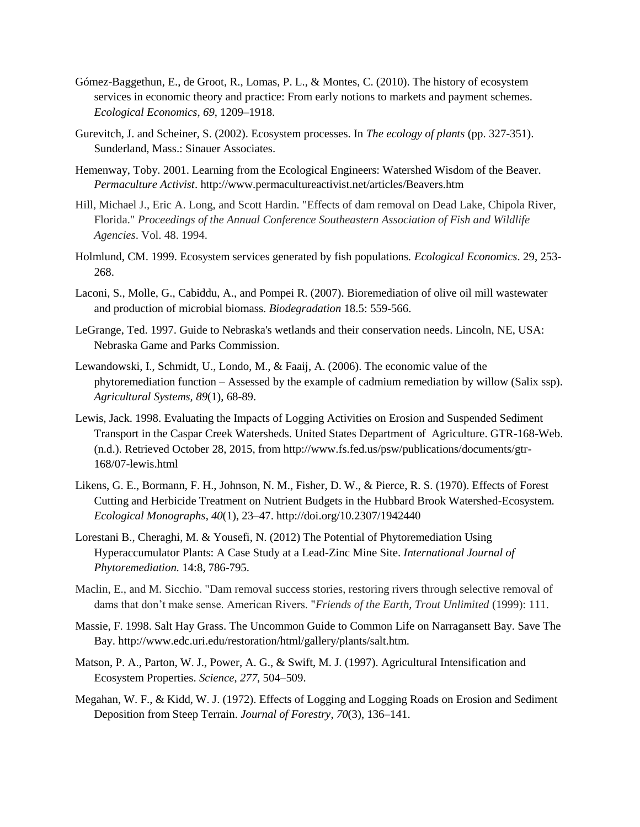- Gómez-Baggethun, E., de Groot, R., Lomas, P. L., & Montes, C. (2010). The history of ecosystem services in economic theory and practice: From early notions to markets and payment schemes. *Ecological Economics*, *69*, 1209–1918.
- Gurevitch, J. and Scheiner, S. (2002). Ecosystem processes. In *The ecology of plants* (pp. 327-351). Sunderland, Mass.: Sinauer Associates.
- Hemenway, Toby. 2001. Learning from the Ecological Engineers: Watershed Wisdom of the Beaver. *Permaculture Activist*. http://www.permacultureactivist.net/articles/Beavers.htm
- Hill, Michael J., Eric A. Long, and Scott Hardin. "Effects of dam removal on Dead Lake, Chipola River, Florida." *Proceedings of the Annual Conference Southeastern Association of Fish and Wildlife Agencies*. Vol. 48. 1994.
- Holmlund, CM. 1999. Ecosystem services generated by fish populations*. Ecological Economics*. 29, 253- 268.
- Laconi, S., Molle, G., Cabiddu, A., and Pompei R. (2007). Bioremediation of olive oil mill wastewater and production of microbial biomass. *Biodegradation* 18.5: 559-566.
- LeGrange, Ted. 1997. Guide to Nebraska's wetlands and their conservation needs. Lincoln, NE, USA: Nebraska Game and Parks Commission.
- Lewandowski, I., Schmidt, U., Londo, M., & Faaij, A. (2006). The economic value of the phytoremediation function – Assessed by the example of cadmium remediation by willow (Salix ssp). *Agricultural Systems, 89*(1), 68-89.
- Lewis, Jack. 1998. Evaluating the Impacts of Logging Activities on Erosion and Suspended Sediment Transport in the Caspar Creek Watersheds. United States Department of Agriculture. GTR-168-Web. (n.d.). Retrieved October 28, 2015, from http://www.fs.fed.us/psw/publications/documents/gtr-168/07-lewis.html
- Likens, G. E., Bormann, F. H., Johnson, N. M., Fisher, D. W., & Pierce, R. S. (1970). Effects of Forest Cutting and Herbicide Treatment on Nutrient Budgets in the Hubbard Brook Watershed-Ecosystem. *Ecological Monographs*, *40*(1), 23–47. http://doi.org/10.2307/1942440
- Lorestani B., Cheraghi, M. & Yousefi, N. (2012) The Potential of Phytoremediation Using Hyperaccumulator Plants: A Case Study at a Lead-Zinc Mine Site. *International Journal of Phytoremediation.* 14:8, 786-795.
- Maclin, E., and M. Sicchio. "Dam removal success stories, restoring rivers through selective removal of dams that don't make sense. American Rivers. "*Friends of the Earth, Trout Unlimited* (1999): 111.
- Massie, F. 1998. Salt Hay Grass. The Uncommon Guide to Common Life on Narragansett Bay. Save The Bay. http://www.edc.uri.edu/restoration/html/gallery/plants/salt.htm.
- Matson, P. A., Parton, W. J., Power, A. G., & Swift, M. J. (1997). Agricultural Intensification and Ecosystem Properties. *Science*, *277*, 504–509.
- Megahan, W. F., & Kidd, W. J. (1972). Effects of Logging and Logging Roads on Erosion and Sediment Deposition from Steep Terrain. *Journal of Forestry*, *70*(3), 136–141.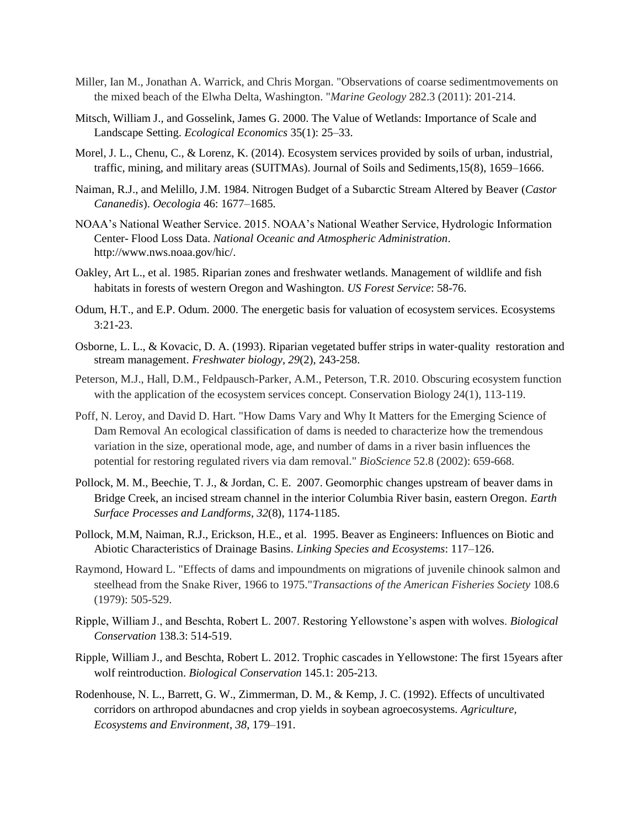- Miller, Ian M., Jonathan A. Warrick, and Chris Morgan. "Observations of coarse sedimentmovements on the mixed beach of the Elwha Delta, Washington. "*Marine Geology* 282.3 (2011): 201-214.
- Mitsch, William J., and Gosselink, James G. 2000. The Value of Wetlands: Importance of Scale and Landscape Setting. *Ecological Economics* 35(1): 25–33.
- Morel, J. L., Chenu, C., & Lorenz, K. (2014). Ecosystem services provided by soils of urban, industrial, traffic, mining, and military areas (SUITMAs). Journal of Soils and Sediments,15(8), 1659–1666.
- Naiman, R.J., and Melillo, J.M. 1984. Nitrogen Budget of a Subarctic Stream Altered by Beaver (*Castor Cananedis*). *Oecologia* 46: 1677–1685.
- NOAA's National Weather Service. 2015. NOAA's National Weather Service, Hydrologic Information Center- Flood Loss Data. *National Oceanic and Atmospheric Administration*. http://www.nws.noaa.gov/hic/.
- Oakley, Art L., et al. 1985. Riparian zones and freshwater wetlands. Management of wildlife and fish habitats in forests of western Oregon and Washington. *US Forest Service*: 58-76.
- Odum, H.T., and E.P. Odum. 2000. The energetic basis for valuation of ecosystem services. Ecosystems 3:21-23.
- Osborne, L. L., & Kovacic, D. A. (1993). Riparian vegetated buffer strips in water‐quality restoration and stream management. *Freshwater biology*, *29*(2), 243-258.
- Peterson, M.J., Hall, D.M., Feldpausch-Parker, A.M., Peterson, T.R. 2010. Obscuring ecosystem function with the application of the ecosystem services concept. Conservation Biology 24(1), 113-119.
- Poff, N. Leroy, and David D. Hart. "How Dams Vary and Why It Matters for the Emerging Science of Dam Removal An ecological classification of dams is needed to characterize how the tremendous variation in the size, operational mode, age, and number of dams in a river basin influences the potential for restoring regulated rivers via dam removal." *BioScience* 52.8 (2002): 659-668.
- Pollock, M. M., Beechie, T. J., & Jordan, C. E. 2007. Geomorphic changes upstream of beaver dams in Bridge Creek, an incised stream channel in the interior Columbia River basin, eastern Oregon. *Earth Surface Processes and Landforms*, *32*(8), 1174-1185.
- Pollock, M.M, Naiman, R.J., Erickson, H.E., et al. 1995. Beaver as Engineers: Influences on Biotic and Abiotic Characteristics of Drainage Basins. *Linking Species and Ecosystems*: 117–126.
- Raymond, Howard L. "Effects of dams and impoundments on migrations of juvenile chinook salmon and steelhead from the Snake River, 1966 to 1975."*Transactions of the American Fisheries Society* 108.6 (1979): 505-529.
- Ripple, William J., and Beschta, Robert L. 2007. Restoring Yellowstone's aspen with wolves. *Biological Conservation* 138.3: 514-519.
- Ripple, William J., and Beschta, Robert L. 2012. Trophic cascades in Yellowstone: The first 15years after wolf reintroduction. *Biological Conservation* 145.1: 205-213.
- Rodenhouse, N. L., Barrett, G. W., Zimmerman, D. M., & Kemp, J. C. (1992). Effects of uncultivated corridors on arthropod abundacnes and crop yields in soybean agroecosystems. *Agriculture, Ecosystems and Environment*, *38*, 179–191.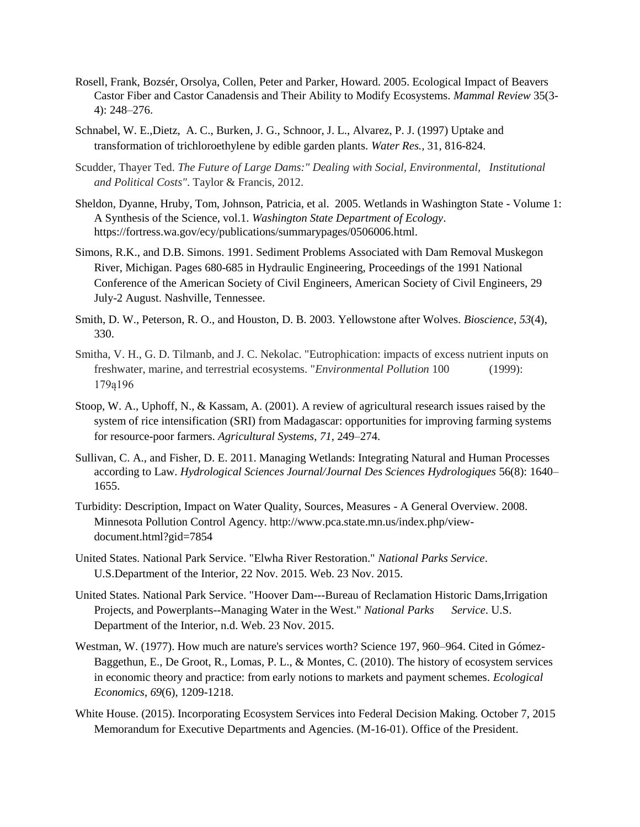- Rosell, Frank, Bozsér, Orsolya, Collen, Peter and Parker, Howard. 2005. Ecological Impact of Beavers Castor Fiber and Castor Canadensis and Their Ability to Modify Ecosystems. *Mammal Review* 35(3- 4): 248–276.
- Schnabel, W. E.,Dietz, A. C., Burken, J. G., Schnoor, J. L., Alvarez, P. J. (1997) Uptake and transformation of trichloroethylene by edible garden plants. *Water Res.,* 31, 816-824.
- Scudder, Thayer Ted. *The Future of Large Dams:" Dealing with Social, Environmental, Institutional and Political Costs"*. Taylor & Francis, 2012.
- Sheldon, Dyanne, Hruby, Tom, Johnson, Patricia, et al. 2005. Wetlands in Washington State Volume 1: A Synthesis of the Science, vol.1. *Washington State Department of Ecology*. https://fortress.wa.gov/ecy/publications/summarypages/0506006.html.
- Simons, R.K., and D.B. Simons. 1991. Sediment Problems Associated with Dam Removal Muskegon River, Michigan. Pages 680-685 in Hydraulic Engineering, Proceedings of the 1991 National Conference of the American Society of Civil Engineers, American Society of Civil Engineers, 29 July-2 August. Nashville, Tennessee.
- Smith, D. W., Peterson, R. O., and Houston, D. B. 2003. Yellowstone after Wolves. *Bioscience*, *53*(4), 330.
- Smitha, V. H., G. D. Tilmanb, and J. C. Nekolac. "Eutrophication: impacts of excess nutrient inputs on freshwater, marine, and terrestrial ecosystems. "*Environmental Pollution* 100 (1999): 179ą196
- Stoop, W. A., Uphoff, N., & Kassam, A. (2001). A review of agricultural research issues raised by the system of rice intensification (SRI) from Madagascar: opportunities for improving farming systems for resource-poor farmers. *Agricultural Systems*, *71*, 249–274.
- Sullivan, C. A., and Fisher, D. E. 2011. Managing Wetlands: Integrating Natural and Human Processes according to Law. *Hydrological Sciences Journal/Journal Des Sciences Hydrologiques* 56(8): 1640– 1655.
- Turbidity: Description, Impact on Water Quality, Sources, Measures A General Overview. 2008. Minnesota Pollution Control Agency. http://www.pca.state.mn.us/index.php/viewdocument.html?gid=7854
- United States. National Park Service. "Elwha River Restoration." *National Parks Service*. U.S.Department of the Interior, 22 Nov. 2015. Web. 23 Nov. 2015.
- United States. National Park Service. "Hoover Dam---Bureau of Reclamation Historic Dams,Irrigation Projects, and Powerplants--Managing Water in the West." *National Parks Service*. U.S. Department of the Interior, n.d. Web. 23 Nov. 2015.
- Westman, W. (1977). How much are nature's services worth? Science 197, 960–964. Cited in Gómez-Baggethun, E., De Groot, R., Lomas, P. L., & Montes, C. (2010). The history of ecosystem services in economic theory and practice: from early notions to markets and payment schemes. *Ecological Economics*, *69*(6), 1209-1218.
- White House. (2015). Incorporating Ecosystem Services into Federal Decision Making. October 7, 2015 Memorandum for Executive Departments and Agencies. (M-16-01). Office of the President.